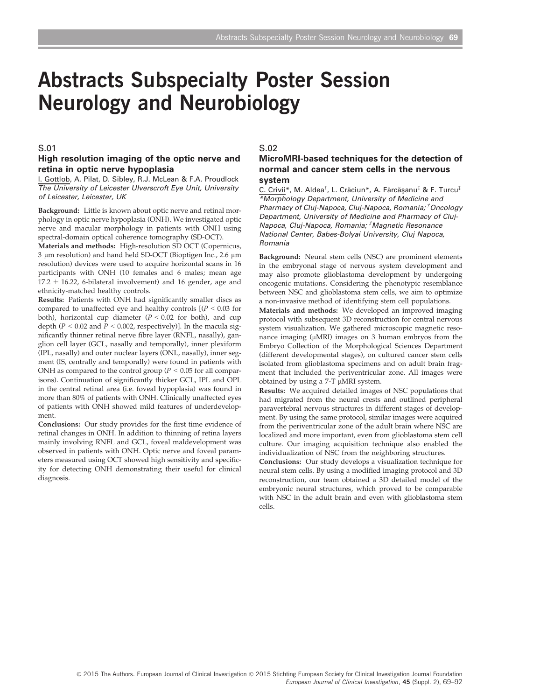# Abstracts Subspecialty Poster Session Neurology and Neurobiology

#### S.01

### High resolution imaging of the optic nerve and retina in optic nerve hypoplasia

I. Gottlob, A. Pilat, D. Sibley, R.J. McLean & F.A. Proudlock The University of Leicester Ulverscroft Eye Unit, University of Leicester, Leicester, UK

Background: Little is known about optic nerve and retinal morphology in optic nerve hypoplasia (ONH). We investigated optic nerve and macular morphology in patients with ONH using spectral-domain optical coherence tomography (SD-OCT).

Materials and methods: High-resolution SD OCT (Copernicus, 3 µm resolution) and hand held SD-OCT (Bioptigen Inc., 2.6 µm resolution) devices were used to acquire horizontal scans in 16 participants with ONH (10 females and 6 males; mean age  $17.2 \pm 16.22$ , 6-bilateral involvement) and 16 gender, age and ethnicity-matched healthy controls.

Results: Patients with ONH had significantly smaller discs as compared to unaffected eye and healthy controls  $[(P < 0.03$  for both), horizontal cup diameter  $(P < 0.02$  for both), and cup depth ( $P < 0.02$  and  $\overline{P} < 0.002$ , respectively)]. In the macula significantly thinner retinal nerve fibre layer (RNFL, nasally), ganglion cell layer (GCL, nasally and temporally), inner plexiform (IPL, nasally) and outer nuclear layers (ONL, nasally), inner segment (IS, centrally and temporally) were found in patients with ONH as compared to the control group ( $P < 0.05$  for all comparisons). Continuation of significantly thicker GCL, IPL and OPL in the central retinal area (i.e. foveal hypoplasia) was found in more than 80% of patients with ONH. Clinically unaffected eyes of patients with ONH showed mild features of underdevelopment.

Conclusions: Our study provides for the first time evidence of retinal changes in ONH. In addition to thinning of retina layers mainly involving RNFL and GCL, foveal maldevelopment was observed in patients with ONH. Optic nerve and foveal parameters measured using OCT showed high sensitivity and specificity for detecting ONH demonstrating their useful for clinical diagnosis.

#### S.02

#### MicroMRI-based techniques for the detection of normal and cancer stem cells in the nervous system

C. Crivii\*, M. Aldea<sup>†</sup>, L. Crăciun\*, A. Fărcăşanu<sup>‡</sup> & F. Turcu<sup>‡</sup> \*Morphology Department, University of Medicine and Pharmacy of Cluj-Napoca, Cluj-Napoca, Romania; <sup>†</sup> Oncology Department, University of Medicine and Pharmacy of Cluj-Napoca, Cluj-Napoca, Romania; ‡ Magnetic Resonance National Center, Babes-Bolyai University, Cluj Napoca, Romania

Background: Neural stem cells (NSC) are prominent elements in the embryonal stage of nervous system development and may also promote glioblastoma development by undergoing oncogenic mutations. Considering the phenotypic resemblance between NSC and glioblastoma stem cells, we aim to optimize a non-invasive method of identifying stem cell populations.

Materials and methods: We developed an improved imaging protocol with subsequent 3D reconstruction for central nervous system visualization. We gathered microscopic magnetic resonance imaging (µMRI) images on 3 human embryos from the Embryo Collection of the Morphological Sciences Department (different developmental stages), on cultured cancer stem cells isolated from glioblastoma specimens and on adult brain fragment that included the periventricular zone. All images were obtained by using a 7-T µMRI system.

Results: We acquired detailed images of NSC populations that had migrated from the neural crests and outlined peripheral paravertebral nervous structures in different stages of development. By using the same protocol, similar images were acquired from the periventricular zone of the adult brain where NSC are localized and more important, even from glioblastoma stem cell culture. Our imaging acquisition technique also enabled the individualization of NSC from the neighboring structures.

Conclusions: Our study develops a visualization technique for neural stem cells. By using a modified imaging protocol and 3D reconstruction, our team obtained a 3D detailed model of the embryonic neural structures, which proved to be comparable with NSC in the adult brain and even with glioblastoma stem cells.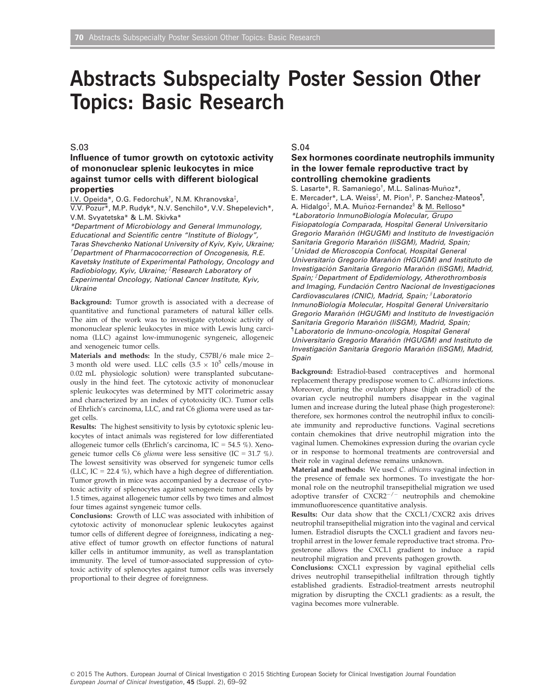# Abstracts Subspecialty Poster Session Other Topics: Basic Research

#### S.03

## Influence of tumor growth on cytotoxic activity of mononuclear splenic leukocytes in mice against tumor cells with different biological properties

l.V. Opeida\*, O.G. Fedorchuk<sup>†</sup>, N.M. Khranovska<sup>‡</sup>, V.V. Pozur\*, M.P. Rudyk\*, N.V. Senchilo\*, V.V. Shepelevich\*, V.M. Svyatetska\* & L.M. Skivka\*

\*Department of Microbiology and General Immunology, Educational and Scientific centre "Institute of Biology", Taras Shevchenko National University of Kyiv, Kyiv, Ukraine;  $^\dagger$ Department of Pharmacocorrection of Oncogenesis, R.E. Kavetsky Institute of Experimental Pathology, Oncology and Radiobiology, Kyiv, Ukraine; <sup>†</sup> Research Laboratory of Experimental Oncology, National Cancer Institute, Kyiv, Ukraine

Background: Tumor growth is associated with a decrease of quantitative and functional parameters of natural killer cells. The aim of the work was to investigate cytotoxic activity of mononuclear splenic leukocytes in mice with Lewis lung carcinoma (LLC) against low-immunogenic syngeneic, allogeneic and xenogeneic tumor cells.

Materials and methods: In the study, C57Bl/6 male mice 2– 3 month old were used. LLC cells  $(3.5 \times 10^5 \text{ cells/mouse in}$ 0.02 mL physiologic solution) were transplanted subcutaneously in the hind feet. The cytotoxic activity of mononuclear splenic leukocytes was determined by MTT colorimetric assay and characterized by an index of cytotoxicity (IC). Tumor cells of Ehrlich's carcinoma, LLC, and rat C6 glioma were used as target cells.

Results: The highest sensitivity to lysis by cytotoxic splenic leukocytes of intact animals was registered for low differentiated allogeneic tumor cells (Ehrlich's carcinoma, IC = 54.5 %). Xenogeneic tumor cells C6 glioma were less sensitive (IC <sup>=</sup> 31.7 %). The lowest sensitivity was observed for syngeneic tumor cells (LLC, IC = 22.4 %), which have a high degree of differentiation. Tumor growth in mice was accompanied by a decrease of cytotoxic activity of splenocytes against xenogeneic tumor cells by 1.5 times, against allogeneic tumor cells by two times and almost four times against syngeneic tumor cells.

Conclusions: Growth of LLC was associated with inhibition of cytotoxic activity of mononuclear splenic leukocytes against tumor cells of different degree of foreignness, indicating a negative effect of tumor growth on effector functions of natural killer cells in antitumor immunity, as well as transplantation immunity. The level of tumor-associated suppression of cytotoxic activity of splenocytes against tumor cells was inversely proportional to their degree of foreignness.

#### S.04

## Sex hormones coordinate neutrophils immunity in the lower female reproductive tract by controlling chemokine gradients

S. Lasarte\*, R. Samaniego<sup>†</sup>, M.L. Salinas-Muñoz\*,

E. Mercader\*, L.A. Weiss<sup>‡</sup>, M. Pion<sup>§</sup>, P. Sanchez-Mateos<sup>¶</sup>, A. Hidalgo<sup>‡</sup>, M.A. Muñoz-Fernandez<sup>§</sup> & <u>M. Relloso</u>\* \*Laboratorio InmunoBiologıa Molecular, Grupo Fisiopatologıa Comparada, Hospital General Universitario Gregorio Marañón (HGUGM) and Instituto de Investigación Sanitaria Gregorio Marañón (IiSGM), Madrid, Spain;  $^\dagger$ Unidad de Microscopía Confocal, Hospital General Universitario Gregorio Marañón (HGUGM) and Instituto de Investigación Sanitaria Gregorio Marañón (IiSGM), Madrid, Spain; ‡ Department of Epdidemiology, Atherothrombosis and Imaging, Fundación Centro Nacional de Investigaciones Cardiovasculares (CNIC), Madrid, Spain; <sup>§</sup> Laboratorio InmunoBiología Molecular, Hospital General Universitario Gregorio Marañón (HGUGM) and Instituto de Investigación Sanitaria Gregorio Marañón (IiSGM), Madrid, Spain; <sup>1</sup>Laboratorio de Inmuno-oncología, Hospital General Universitario Gregorio Marañón (HGUGM) and Instituto de Investigación Sanitaria Gregorio Marañón (IiSGM), Madrid, Spain

Background: Estradiol-based contraceptives and hormonal replacement therapy predispose women to C. albicans infections. Moreover, during the ovulatory phase (high estradiol) of the ovarian cycle neutrophil numbers disappear in the vaginal lumen and increase during the luteal phase (high progesterone): therefore, sex hormones control the neutrophil influx to conciliate immunity and reproductive functions. Vaginal secretions contain chemokines that drive neutrophil migration into the vaginal lumen. Chemokines expression during the ovarian cycle or in response to hormonal treatments are controversial and their role in vaginal defense remains unknown.

Material and methods: We used C. albicans vaginal infection in the presence of female sex hormones. To investigate the hormonal role on the neutrophil transepithelial migration we used adoptive transfer of  $CXCR2^{-/-}$  neutrophils and chemokine immunofluorescence quantitative analysis.

Results: Our data show that the CXCL1/CXCR2 axis drives neutrophil transepithelial migration into the vaginal and cervical lumen. Estradiol disrupts the CXCL1 gradient and favors neutrophil arrest in the lower female reproductive tract stroma. Progesterone allows the CXCL1 gradient to induce a rapid neutrophil migration and prevents pathogen growth.

Conclusions: CXCL1 expression by vaginal epithelial cells drives neutrophil transepithelial infiltration through tightly established gradients. Estradiol-treatment arrests neutrophil migration by disrupting the CXCL1 gradients: as a result, the vagina becomes more vulnerable.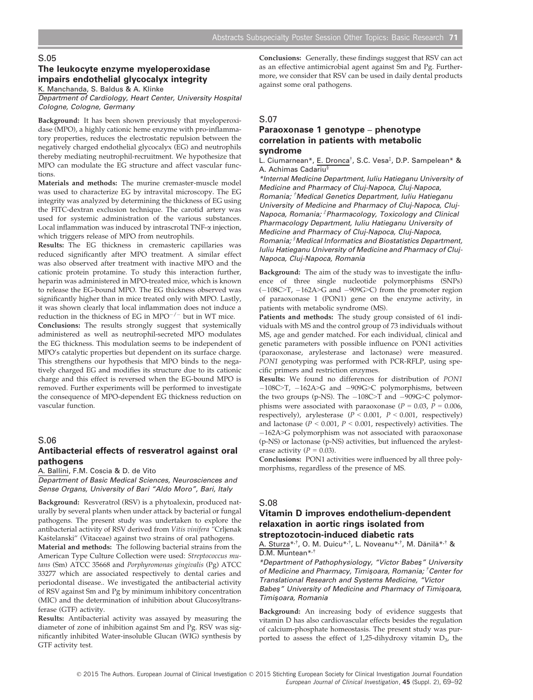# The leukocyte enzyme myeloperoxidase impairs endothelial glycocalyx integrity

K. Manchanda, S. Baldus & A. Klinke

#### Department of Cardiology, Heart Center, University Hospital Cologne, Cologne, Germany

Background: It has been shown previously that myeloperoxidase (MPO), a highly cationic heme enzyme with pro-inflammatory properties, reduces the electrostatic repulsion between the negatively charged endothelial glycocalyx (EG) and neutrophils thereby mediating neutrophil-recruitment. We hypothesize that MPO can modulate the EG structure and affect vascular functions.

Materials and methods: The murine cremaster-muscle model was used to characterize EG by intravital microscopy. The EG integrity was analyzed by determining the thickness of EG using the FITC-dextran exclusion technique. The carotid artery was used for systemic administration of the various substances. Local inflammation was induced by intrascrotal TNF-a injection, which triggers release of MPO from neutrophils.

Results: The EG thickness in cremasteric capillaries was reduced significantly after MPO treatment. A similar effect was also observed after treatment with inactive MPO and the cationic protein protamine. To study this interaction further, heparin was administered in MPO-treated mice, which is known to release the EG-bound MPO. The EG thickness observed was significantly higher than in mice treated only with MPO. Lastly, it was shown clearly that local inflammation does not induce a reduction in the thickness of EG in MPO<sup>-/-</sup> but in WT mice.

Conclusions: The results strongly suggest that systemically administered as well as neutrophil-secreted MPO modulates the EG thickness. This modulation seems to be independent of MPO's catalytic properties but dependent on its surface charge. This strengthens our hypothesis that MPO binds to the negatively charged EG and modifies its structure due to its cationic charge and this effect is reversed when the EG-bound MPO is removed. Further experiments will be performed to investigate the consequence of MPO-dependent EG thickness reduction on vascular function.

#### S.06

## Antibacterial effects of resveratrol against oral pathogens

A. Ballini, F.M. Coscia & D. de Vito

Department of Basic Medical Sciences, Neurosciences and Sense Organs, University of Bari "Aldo Moro", Bari, Italy

Background: Resveratrol (RSV) is a phytoalexin, produced naturally by several plants when under attack by bacterial or fungal pathogens. The present study was undertaken to explore the antibacterial activity of RSV derived from Vitis vinifera "Crljenak Kastelanski" (Vitaceae) against two strains of oral pathogens.

Material and methods: The following bacterial strains from the American Type Culture Collection were used: Streptococcus mutans (Sm) ATCC 35668 and Porphyromonas gingivalis (Pg) ATCC 33277 which are associated respectively to dental caries and periodontal disease.. We investigated the antibacterial activity of RSV against Sm and Pg by minimum inhibitory concentration (MIC) and the determination of inhibition about Glucosyltransferase (GTF) activity.

Results: Antibacterial activity was assayed by measuring the diameter of zone of inhibition against Sm and Pg. RSV was significantly inhibited Water-insoluble Glucan (WIG) synthesis by GTF activity test.

Conclusions: Generally, these findings suggest that RSV can act as an effective antimicrobial agent against Sm and Pg. Furthermore, we consider that RSV can be used in daily dental products against some oral pathogens.

# S.07

## Paraoxonase 1 genotype – phenotype correlation in patients with metabolic syndrome

L. Ciumarnean\*, E. Dronca<sup>†</sup>, S.C. Vesa<sup>‡</sup>, D.P. Sampelean\* & A. Achimas Cadariu§

\*Internal Medicine Department, Iuliu Hatieganu University of Medicine and Pharmacy of Cluj-Napoca, Cluj-Napoca, Romania; † Medical Genetics Department, Iuliu Hatieganu University of Medicine and Pharmacy of Cluj-Napoca, Cluj-Napoca, Romania; <sup>†</sup> Pharmacology, Toxicology and Clinica Pharmacology Department, Iuliu Hatieganu University of Medicine and Pharmacy of Cluj-Napoca, Cluj-Napoca, Romania; § Medical Informatics and Biostatistics Department, Iuliu Hatieganu University of Medicine and Pharmacy of Cluj-Napoca, Cluj-Napoca, Romania

Background: The aim of the study was to investigate the influence of three single nucleotide polymorphisms (SNPs)  $(-108C>T, -162A>C$  and  $-909G>C$ ) from the promoter region of paraoxonase 1 (PON1) gene on the enzyme activity, in patients with metabolic syndrome (MS).

Patients and methods: The study group consisted of 61 individuals with MS and the control group of 73 individuals without MS, age and gender matched. For each individual, clinical and genetic parameters with possible influence on PON1 activities (paraoxonase, arylesterase and lactonase) were measured. PON1 genotyping was performed with PCR-RFLP, using specific primers and restriction enzymes.

Results: We found no differences for distribution of PON1  $-108C$ )T,  $-162A$ >G and  $-909G$ >C polymorphisms, between the two groups (p-NS). The  $-108C>T$  and  $-909G>C$  polymorphisms were associated with paraoxonase ( $P = 0.03$ ,  $P = 0.006$ , respectively), arylesterase  $(P < 0.001, P < 0.001$ , respectively) and lactonase ( $P < 0.001$ ,  $P < 0.001$ , respectively) activities. The 162A>G polymorphism was not associated with paraoxonase (p-NS) or lactonase (p-NS) activities, but influenced the arylesterase activity ( $P = 0.03$ ).

Conclusions: PON1 activities were influenced by all three polymorphisms, regardless of the presence of MS.

#### S.08

## Vitamin D improves endothelium-dependent relaxation in aortic rings isolated from streptozotocin-induced diabetic rats

A. Sturza\*<sup>,†</sup>, O. M. Duicu\*<sup>,†</sup>, L. Noveanu\*<sup>,†</sup>, M. Dănilă\*<sup>,†</sup> & D.M. Muntean\*,†

\*Department of Pathophysiology, "Victor Babes" University of Medicine and Pharmacy, Timişoara, Romania; <sup>†</sup> Center for Translational Research and Systems Medicine, "Victor Babes" University of Medicine and Pharmacy of Timisoara, Timisoara, Romania

Background: An increasing body of evidence suggests that vitamin D has also cardiovascular effects besides the regulation of calcium-phosphate homeostasis. The present study was purported to assess the effect of 1,25-dihydroxy vitamin  $D_3$ , the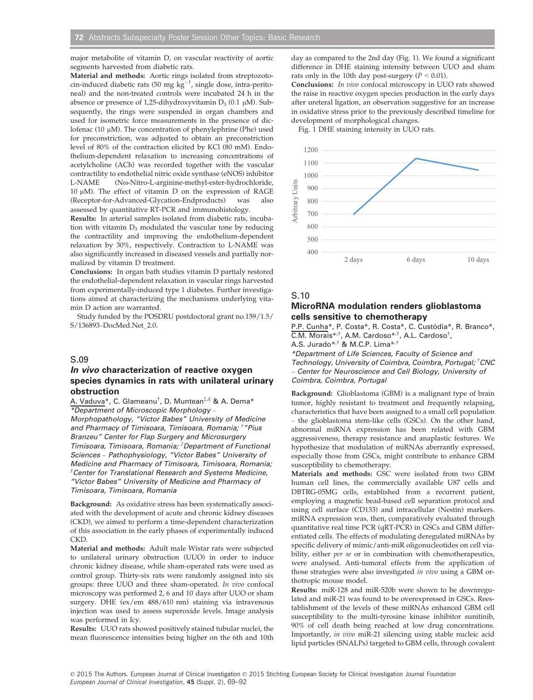major metabolite of vitamin D, on vascular reactivity of aortic segments harvested from diabetic rats.

Material and methods: Aortic rings isolated from streptozotocin-induced diabetic rats (50 mg  $\text{kg}^{-1}$ , single dose, intra-peritoneal) and the non-treated controls were incubated 24 h in the absence or presence of 1,25-dihydroxyvitamin  $D_3$  (0.1  $\mu$ M). Subsequently, the rings were suspended in organ chambers and used for isometric force measurements in the presence of diclofenac (10  $\mu$ M). The concentration of phenylephrine (Phe) used for preconstriction, was adjusted to obtain an preconstriction level of 80% of the contraction elicited by KCl (80 mM). Endothelium-dependent relaxation to increasing concentrations of acetylcholine (ACh) was recorded together with the vascular contractility to endothelial nitric oxide synthase (eNOS) inhibitor<br>L-NAME (No-Nitro-L-arginine-methyl-ester-hydrochloride, (Nω-Nitro-L-arginine-methyl-ester-hydrochloride,  $10 \mu M$ ). The effect of vitamin D on the expression of RAGE (Receptor-for-Advanced-Glycation-Endproducts) was also (Receptor-for-Advanced-Glycation-Endproducts) assessed by quantitative RT-PCR and immunohistology.

Results: In arterial samples isolated from diabetic rats, incubation with vitamin  $D_3$  modulated the vascular tone by reducing the contractility and improving the endothelium-dependent relaxation by 30%, respectively. Contraction to L-NAME was also significantly increased in diseased vessels and partially normalized by vitamin D treatment.

Conclusions: In organ bath studies vitamin D partialy restored the endothelial-dependent relaxation in vascular rings harvested from experimentally-induced type 1 diabetes. Further investigations aimed at characterizing the mechanisms underlying vitamin D action are warranted.

Study funded by the POSDRU postdoctoral grant no.159/1.5/ S/136893–DocMed.Net\_2.0.

#### S.09

## In vivo characterization of reactive oxygen species dynamics in rats with unilateral urinary obstruction

A. Vaduva\*, C. Glameanu† , D. Muntean‡,§ & A. Dema\* \*Department of Microscopic Morphology –

Morphopathology, "Victor Babes" University of Medicine and Pharmacy of Timisoara, Timisoara, Romania; † "Pius Branzeu" Center for Flap Surgery and Microsurgery Timisoara, Timisoara, Romania; ‡ Department of Functional Sciences – Pathophysiology, "Victor Babes" University of Medicine and Pharmacy of Timisoara, Timisoara, Romania;  ${}^{\mathcal{S}}$ Center for Translational Research and Systems Medicine, "Victor Babes" University of Medicine and Pharmacy of Timisoara, Timisoara, Romania

Background: As oxidative stress has been systematically associated with the development of acute and chronic kidney diseases (CKD), we aimed to perform a time-dependent characterization of this association in the early phases of experimentally induced CKD.

Material and methods: Adult male Wistar rats were subjected to unilateral urinary obstruction (UUO) in order to induce chronic kidney disease, while sham-operated rats were used as control group. Thirty-six rats were randomly assigned into six groups: three UUO and three sham-operated. In vivo confocal microscopy was performed 2, 6 and 10 days after UUO or sham surgery. DHE (ex/em 488/610 nm) staining via intravenous injection was used to assess superoxide levels. Image analysis was performed in Icy.

Results: UUO rats showed positively stained tubular nuclei, the mean fluorescence intensities being higher on the 6th and 10th day as compared to the 2nd day (Fig. 1). We found a significant difference in DHE staining intensity between UUO and sham rats only in the 10th day post-surgery ( $P < 0.01$ ).

Conclusions: In vivo confocal microscopy in UUO rats showed the raise in reactive oxygen species production in the early days after ureteral ligation, an observation suggestive for an increase in oxidative stress prior to the previously described timeline for development of morphological changes.

Fig. 1 DHE staining intensity in UUO rats.



#### S.10

## MicroRNA modulation renders glioblastoma cells sensitive to chemotherapy

P.P. Cunha\*, P. Costa\*, R. Costa\*, C. Custodia\*, R. Branco\*, C.M. Morais\*<sup>,†</sup>, A.M. Cardoso\*<sup>,†</sup>, A.L. Cardoso<sup>†</sup>,

A.S. Jurado\*,† & M.C.P. Lima\*,†

\*Department of Life Sciences, Faculty of Science and Technology, University of Coimbra, Coimbra, Portugal; <sup>†</sup>CNC – Center for Neuroscience and Cell Biology, University of Coimbra, Coimbra, Portugal

Background: Glioblastoma (GBM) is a malignant type of brain tumor, highly resistant to treatment and frequently relapsing, characteristics that have been assigned to a small cell population – the glioblastoma stem-like cells (GSCs). On the other hand, abnormal miRNA expression has been related with GBM aggressiveness, therapy resistance and anaplastic features. We hypothesize that modulation of miRNAs aberrantly expressed, especially those from GSCs, might contribute to enhance GBM susceptibility to chemotherapy.

Materials and methods: GSC were isolated from two GBM human cell lines, the commercially available U87 cells and DBTRG-05MG cells, established from a recurrent patient, employing a magnetic bead-based cell separation protocol and using cell surface (CD133) and intracellular (Nestin) markers. miRNA expression was, then, comparatively evaluated through quantitative real time PCR (qRT-PCR) in GSCs and GBM differentiated cells. The effects of modulating deregulated miRNAs by specific delivery of mimic/anti-miR oligonucleotides on cell viability, either per se or in combination with chemotherapeutics, were analysed. Anti-tumoral effects from the application of those strategies were also investigated in vivo using a GBM orthotropic mouse model.

Results: miR-128 and miR-520b were shown to be downregulated and miR-21 was found to be overexpressed in GSCs. Reestablishment of the levels of these miRNAs enhanced GBM cell susceptibility to the multi-tyrosine kinase inhibitor sunitinib, 90% of cell death being reached at low drug concentrations. Importantly, in vivo miR-21 silencing using stable nucleic acid lipid particles (SNALPs) targeted to GBM cells, through covalent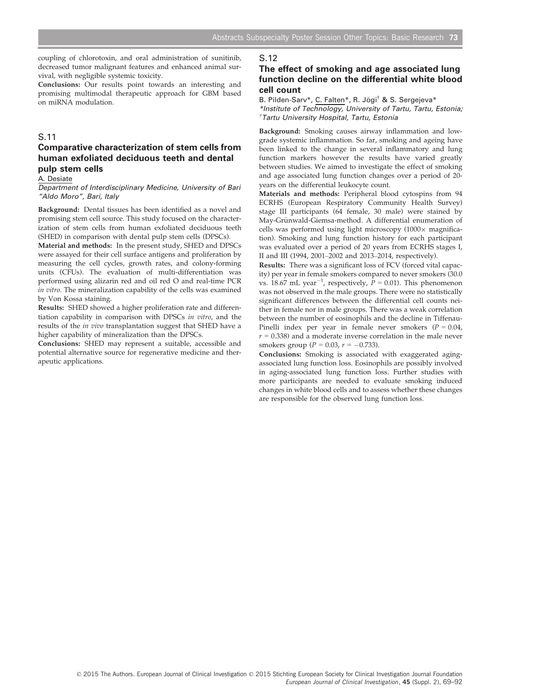coupling of chlorotoxin, and oral administration of sunitinib, decreased tumor malignant features and enhanced animal survival, with negligible systemic toxicity.

Conclusions: Our results point towards an interesting and promising multimodal therapeutic approach for GBM based on miRNA modulation.

## S.11

## Comparative characterization of stem cells from human exfoliated deciduous teeth and dental pulp stem cells

A. Desiate

Department of Interdisciplinary Medicine, University of Bari "Aldo Moro", Bari, Italy

Background: Dental tissues has been identified as a novel and promising stem cell source. This study focused on the characterization of stem cells from human exfoliated deciduous teeth (SHED) in comparison with dental pulp stem cells (DPSCs).

Material and methods: In the present study, SHED and DPSCs were assayed for their cell surface antigens and proliferation by measuring the cell cycles, growth rates, and colony-forming units (CFUs). The evaluation of multi-differentiation was performed using alizarin red and oil red O and real-time PCR in vitro. The mineralization capability of the cells was examined by Von Kossa staining.

Results: SHED showed a higher proliferation rate and differentiation capability in comparison with DPSCs in vitro, and the results of the in vivo transplantation suggest that SHED have a higher capability of mineralization than the DPSCs.

Conclusions: SHED may represent a suitable, accessible and potential alternative source for regenerative medicine and therapeutic applications.

#### S.12

## The effect of smoking and age associated lung function decline on the differential white blood cell count

B. Pilden-Sarv\*, C. Falten\*, R. Jõgi<sup>†</sup> & S. Sergejeva\* \*Institute of Technology, University of Tartu, Tartu, Estonia; † Tartu University Hospital, Tartu, Estonia

Background: Smoking causes airway inflammation and lowgrade systemic inflammation. So far, smoking and ageing have been linked to the change in several inflammatory and lung function markers however the results have varied greatly between studies. We aimed to investigate the effect of smoking and age associated lung function changes over a period of 20 years on the differential leukocyte count.

Materials and methods: Peripheral blood cytospins from 94 ECRHS (European Respiratory Community Health Survey) stage III participants (64 female, 30 male) were stained by May-Grünwald-Giemsa-method. A differential enumeration of cells was performed using light microscopy  $(1000 \times$  magnification). Smoking and lung function history for each participant was evaluated over a period of 20 years from ECRHS stages I, II and III (1994, 2001–2002 and 2013–2014, respectively).

Results: There was a significant loss of FCV (forced vital capacity) per year in female smokers compared to never smokers (30.0 vs. 18.67 mL year<sup>-1</sup>, respectively,  $P = 0.01$ ). This phenomenon<br>was not observed in the male groups. There were no statistically was not observed in the male groups. There were no statistically significant differences between the differential cell counts neither in female nor in male groups. There was a weak correlation between the number of eosinophils and the decline in Tiffenau-Pinelli index per year in female never smokers  $(P = 0.04,$  $r = 0.338$ ) and a moderate inverse correlation in the male never smokers group ( $P = 0.03$ ,  $r = -0.733$ ).

Conclusions: Smoking is associated with exaggerated agingassociated lung function loss. Eosinophils are possibly involved in aging-associated lung function loss. Further studies with more participants are needed to evaluate smoking induced changes in white blood cells and to assess whether these changes are responsible for the observed lung function loss.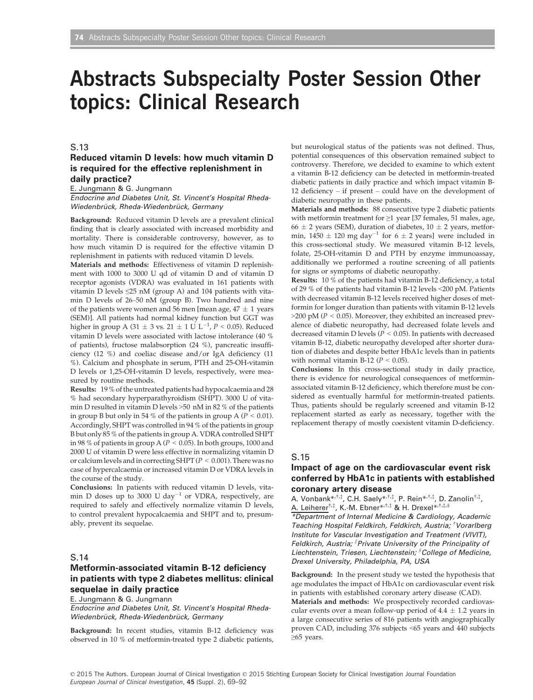# Abstracts Subspecialty Poster Session Other topics: Clinical Research

#### S.13

## Reduced vitamin D levels: how much vitamin D is required for the effective replenishment in daily practice?

E. Jungmann & G. Jungmann

Endocrine and Diabetes Unit, St. Vincent's Hospital Rheda-Wiedenbrück, Rheda-Wiedenbrück, Germany

Background: Reduced vitamin D levels are a prevalent clinical finding that is clearly associated with increased morbidity and mortality. There is considerable controversy, however, as to how much vitamin D is required for the effective vitamin D replenishment in patients with reduced vitamin D levels.

Materials and methods: Effectiveness of vitamin D replenishment with 1000 to 3000 U qd of vitamin D and of vitamin D receptor agonists (VDRA) was evaluated in 161 patients with vitamin D levels ≤25 nM (group A) and 104 patients with vitamin D levels of 26–50 nM (group B). Two hundred and nine of the patients were women and 56 men [mean age,  $47 \pm 1$  years (SEM)]. All patients had normal kidney function but GGT was higher in group A (31  $\pm$  3 vs. 21  $\pm$  1 U L<sup>-1</sup>, P < 0.05). Reduced<br>vitamin D levels were associated with lactose intelerance (40 % vitamin D levels were associated with lactose intolerance (40 % of patients), fructose malabsorption (24 %), pancreatic insufficiency (12 %) and coeliac disease and/or IgA deficiency (11 %). Calcium and phosphate in serum, PTH and 25-OH-vitamin D levels or 1,25-OH-vitamin D levels, respectively, were measured by routine methods.

Results: 19 % of the untreated patients had hypocalcaemia and 28 % had secondary hyperparathyroidism (SHPT). 3000 U of vitamin D resulted in vitamin D levels >50 nM in 82 % of the patients in group B but only in 54 % of the patients in group A ( $P < 0.01$ ). Accordingly, SHPT was controlled in 94 % of the patients in group B but only 85 % of the patients in group A. VDRA controlled SHPT in 98 % of patients in group A ( $P < 0.05$ ). In both groups, 1000 and 2000 U of vitamin D were less effective in normalizing vitamin D or calcium levels and in correcting SHPT ( $P < 0.001$ ). There was no case of hypercalcaemia or increased vitamin D or VDRA levels in the course of the study.

Conclusions: In patients with reduced vitamin D levels, vitamin D doses up to 3000 U day<sup>-1</sup> or VDRA, respectively, are required to safely and effectively normalize vitamin D levels, to control prevalent hypocalcaemia and SHPT and to, presumably, prevent its sequelae.

#### S.14

## Metformin-associated vitamin B-12 deficiency in patients with type 2 diabetes mellitus: clinical sequelae in daily practice

E. Jungmann & G. Jungmann

Endocrine and Diabetes Unit, St. Vincent's Hospital Rheda-Wiedenbrück, Rheda-Wiedenbrück, Germany

Background: In recent studies, vitamin B-12 deficiency was observed in 10 % of metformin-treated type 2 diabetic patients, but neurological status of the patients was not defined. Thus, potential consequences of this observation remained subject to controversy. Therefore, we decided to examine to which extent a vitamin B-12 deficiency can be detected in metformin-treated diabetic patients in daily practice and which impact vitamin B-12 deficiency – if present – could have on the development of diabetic neuropathy in these patients.

Materials and methods: 88 consecutive type 2 diabetic patients with metformin treatment for ≥1 year [37 females, 51 males, age,  $66 \pm 2$  years (SEM), duration of diabetes,  $10 \pm 2$  years, metformin,  $1450 \pm 120$  mg day<sup>-1</sup> for  $6 \pm 2$  years] were included in this cross-sectional study. We measured vitamin B-12 levels, folate, 25-OH-vitamin D and PTH by enzyme immunoassay, additionally we performed a routine screening of all patients for signs or symptoms of diabetic neuropathy.

Results: 10 % of the patients had vitamin B-12 deficiency, a total of 29 % of the patients had vitamin B-12 levels <200 pM. Patients with decreased vitamin B-12 levels received higher doses of metformin for longer duration than patients with vitamin B-12 levels  $>$ 200 pM ( $P < 0.05$ ). Moreover, they exhibited an increased prevalence of diabetic neuropathy, had decreased folate levels and decreased vitamin D levels ( $P < 0.05$ ). In patients with decreased vitamin B-12, diabetic neuropathy developed after shorter duration of diabetes and despite better HbA1c levels than in patients with normal vitamin B-12 ( $P < 0.05$ ).

Conclusions: In this cross-sectional study in daily practice, there is evidence for neurological consequences of metforminassociated vitamin B-12 deficiency, which therefore must be considered as eventually harmful for metformin-treated patients. Thus, patients should be regularly screened and vitamin B-12 replacement started as early as necessary, together with the replacement therapy of mostly coexistent vitamin D-deficiency.

#### S.15

## Impact of age on the cardiovascular event risk conferred by HbA1c in patients with established coronary artery disease

A. Vonbank\* $\dot{a}^{\dagger,\ddagger}$ , C.H. Saely\* $\dot{a}^{\dagger,\ddagger}$ , P. Rein\* $\dot{a}^{\dagger,\ddagger}$ , D. Zanolin $\dot{a}^{\dagger,\ddagger}$ , A. Leiherer $^{\dagger,\ddagger}$ , K.-M. Ebner $^{*,\dagger,\ddagger}$  & H. Drexel $^{*,\dagger,\ddagger,\ddagger,\odot}$ 

\*Department of Internal Medicine & Cardiology, Academic Teaching Hospital Feldkirch, Feldkirch, Austria; † Vorarlberg Institute for Vascular Investigation and Treatment (VIVIT), Feldkirch, Austria; <sup>†</sup> Private University of the Principality of Liechtenstein, Triesen, Liechtenstein; <sup>§</sup> College of Medicine, Drexel University, Philadelphia, PA, USA

Background: In the present study we tested the hypothesis that age modulates the impact of HbA1c on cardiovascular event risk in patients with established coronary artery disease (CAD). Materials and methods: We prospectively recorded cardiovascular events over a mean follow-up period of  $4.4 \pm 1.2$  years in a large consecutive series of 816 patients with angiographically proven CAD, including 376 subjects <65 years and 440 subjects ≥65 years.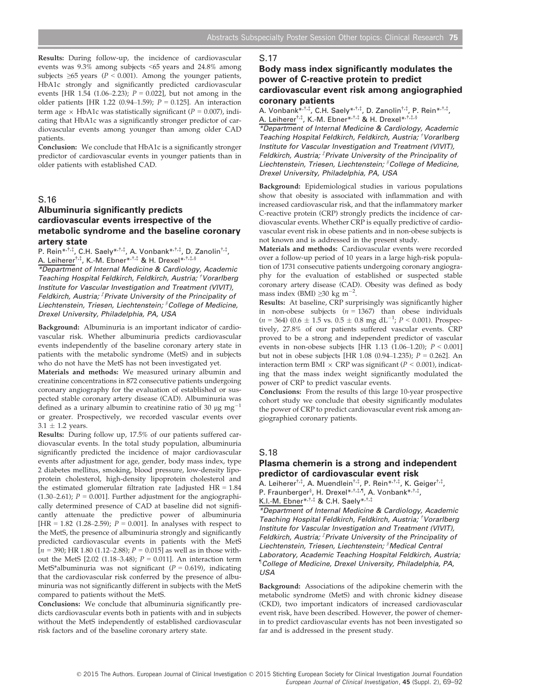Results: During follow-up, the incidence of cardiovascular events was 9.3% among subjects <65 years and 24.8% among subjects  $\geq 65$  years ( $P < 0.001$ ). Among the younger patients, HbA1c strongly and significantly predicted cardiovascular events [HR 1.54 (1.06–2.23);  $P = 0.022$ ], but not among in the older patients [HR 1.22 (0.94–1.59);  $P = 0.125$ ]. An interaction term age  $\times$  HbA1c was statistically significant ( $P = 0.007$ ), indicating that HbA1c was a significantly stronger predictor of cardiovascular events among younger than among older CAD patients.

Conclusion: We conclude that HbA1c is a significantly stronger predictor of cardiovascular events in younger patients than in older patients with established CAD.

#### S.16

## Albuminuria significantly predicts cardiovascular events irrespective of the metabolic syndrome and the baseline coronary artery state

P. Rein\*<sup>,†,‡</sup>, C.H. Saely\*<sup>,†,‡</sup>, A. Vonbank\*<sup>,†,‡</sup>, D. Zanolin<sup>†,‡</sup>, A. Leiherer $^{\dagger,\ddagger}$ , K.-M. Ebner $^{*,\dagger,\ddagger}$  & H. Drexel $^{*,\dagger,\ddagger,\S}$ 

\*Department of Internal Medicine & Cardiology, Academic Teaching Hospital Feldkirch, Feldkirch, Austria; † Vorarlberg Institute for Vascular Investigation and Treatment (VIVIT), Feldkirch, Austria; <sup>†</sup> Private University of the Principality of Liechtenstein, Triesen, Liechtenstein; <sup>§</sup> College of Medicine, Drexel University, Philadelphia, PA, USA

Background: Albuminuria is an important indicator of cardiovascular risk. Whether albuminuria predicts cardiovascular events independently of the baseline coronary artery state in patients with the metabolic syndrome (MetS) and in subjects who do not have the MetS has not been investigated yet.

Materials and methods: We measured urinary albumin and creatinine concentrations in 872 consecutive patients undergoing coronary angiography for the evaluation of established or suspected stable coronary artery disease (CAD). Albuminuria was defined as a urinary albumin to creatinine ratio of 30  $\mu$ g mg<sup>-1</sup> or greater. Prospectively, we recorded vascular events over  $3.1 \pm 1.2$  years.

Results: During follow up, 17.5% of our patients suffered cardiovascular events. In the total study population, albuminuria significantly predicted the incidence of major cardiovascular events after adjustment for age, gender, body mass index, type 2 diabetes mellitus, smoking, blood pressure, low-density lipoprotein cholesterol, high-density lipoprotein cholesterol and the estimated glomerular filtration rate [adjusted  $HR = 1.84$  $(1.30-2.61)$ ;  $P = 0.001$ ]. Further adjustment for the angiographically determined presence of CAD at baseline did not significantly attenuate the predictive power of albuminuria [HR = 1.82 (1.28–2.59);  $P = 0.001$ ]. In analyses with respect to the MetS, the presence of albuminuria strongly and significantly predicted cardiovascular events in patients with the MetS  $[n = 390;$  HR 1.80 (1.12–2.88);  $P = 0.015$  as well as in those without the MetS  $[2.02 (1.18-3.48); P = 0.011]$ . An interaction term MetS\*albuminuria was not significant ( $P = 0.619$ ), indicating that the cardiovascular risk conferred by the presence of albuminuria was not significantly different in subjects with the MetS compared to patients without the MetS.

Conclusions: We conclude that albuminuria significantly predicts cardiovascular events both in patients with and in subjects without the MetS independently of established cardiovascular risk factors and of the baseline coronary artery state.

#### S.17

## Body mass index significantly modulates the power of C-reactive protein to predict cardiovascular event risk among angiographied coronary patients

A. Vonbank\*<sup>,†,‡</sup>, C.H. Saely\*<sup>,†,‡</sup>, D. Zanolin<sup>†,‡</sup>, P. Rein\*<sup>,†,‡</sup>, A. Leiherer†,‡ , K.-M. Ebner\*,†,‡ & H. Drexel\*,†,‡,§

\*Department of Internal Medicine & Cardiology, Academic Teaching Hospital Feldkirch, Feldkirch, Austria; † Vorarlberg Institute for Vascular Investigation and Treatment (VIVIT), Feldkirch, Austria; <sup>‡</sup> Private University of the Principality of Liechtenstein, Triesen, Liechtenstein; <sup>§</sup> College of Medicine, Drexel University, Philadelphia, PA, USA

Background: Epidemiological studies in various populations show that obesity is associated with inflammation and with increased cardiovascular risk, and that the inflammatory marker C-reactive protein (CRP) strongly predicts the incidence of cardiovascular events. Whether CRP is equally predictive of cardiovascular event risk in obese patients and in non-obese subjects is not known and is addressed in the present study.

Materials and methods: Cardiovascular events were recorded over a follow-up period of 10 years in a large high-risk population of 1731 consecutive patients undergoing coronary angiography for the evaluation of established or suspected stable coronary artery disease (CAD). Obesity was defined as body mass index (BMI) ≥30 kg m<sup>-2</sup>.

Results: At baseline, CRP surprisingly was significantly higher in non-obese subjects  $(n = 1367)$  than obese individuals  $(n = 364)$  (0.6  $\pm$  1.5 vs. 0.5  $\pm$  0.8 mg dL<sup>-1</sup>;  $P < 0.001$ ). Prospectively 27.8% of our patients suffered vascular events. CRP tively, 27.8% of our patients suffered vascular events. CRP proved to be a strong and independent predictor of vascular events in non-obese subjects [HR 1.13  $(1.06-1.20)$ ;  $P < 0.001$ ] but not in obese subjects [HR 1.08 (0.94–1.235);  $P = 0.262$ ]. An interaction term BMI  $\times$  CRP was significant ( $P < 0.001$ ), indicating that the mass index weight significantly modulated the power of CRP to predict vascular events.

Conclusions: From the results of this large 10-year prospective cohort study we conclude that obesity significantly modulates the power of CRP to predict cardiovascular event risk among angiographied coronary patients.

#### S.18

#### Plasma chemerin is a strong and independent predictor of cardiovascular event risk

A. Leiherer†,‡, A. Muendlein†,‡, P. Rein\*,†,‡, K. Geiger†,‡,<br>P. Fraunberger<sup>§</sup>, H. Drexel\*<sup>,†,‡,†</sup>, A. Vonbank\*<sup>,†,‡</sup>, K.l.-M. Ebner\*,†,‡ & C.H. Saely\*,†,‡

\*Department of Internal Medicine & Cardiology, Academic Teaching Hospital Feldkirch, Feldkirch, Austria; † Vorarlberg Institute for Vascular Investigation and Treatment (VIVIT), Feldkirch, Austria; <sup>‡</sup> Private University of the Principality of Liechtenstein, Triesen, Liechtenstein; <sup>§</sup>Medical Central Laboratory, Academic Teaching Hospital Feldkirch, Austria; ¶ College of Medicine, Drexel University, Philadelphia, PA, USA

Background: Associations of the adipokine chemerin with the metabolic syndrome (MetS) and with chronic kidney disease (CKD), two important indicators of increased cardiovascular event risk, have been described. However, the power of chemerin to predict cardiovascular events has not been investigated so far and is addressed in the present study.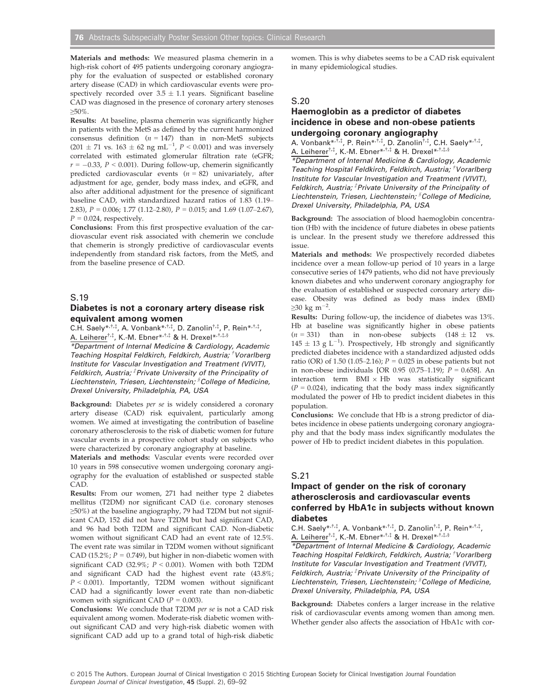Materials and methods: We measured plasma chemerin in a high-risk cohort of 495 patients undergoing coronary angiography for the evaluation of suspected or established coronary artery disease (CAD) in which cardiovascular events were prospectively recorded over  $3.5 \pm 1.1$  years. Significant baseline CAD was diagnosed in the presence of coronary artery stenoses  $>50\%$ .

Results: At baseline, plasma chemerin was significantly higher in patients with the MetS as defined by the current harmonized consensus definition  $(n = 147)$  than in non-MetS subjects  $(201 \pm 71 \text{ vs. } 163 \pm 62 \text{ ng mL}^{-1}, P < 0.001)$  and was inversely<br>correlated with estimated glomerular filtration rate (eCER) correlated with estimated glomerular filtration rate (eGFR;  $r = -0.33$ ,  $P < 0.001$ ). During follow-up, chemerin significantly predicted cardiovascular events  $(n = 82)$  univariately, after adjustment for age, gender, body mass index, and eGFR, and also after additional adjustment for the presence of significant baseline CAD, with standardized hazard ratios of 1.83 (1.19– 2.83),  $P = 0.006$ ; 1.77 (1.12–2.80),  $P = 0.015$ ; and 1.69 (1.07–2.67),  $P = 0.024$ , respectively.

Conclusions: From this first prospective evaluation of the cardiovascular event risk associated with chemerin we conclude that chemerin is strongly predictive of cardiovascular events independently from standard risk factors, from the MetS, and from the baseline presence of CAD.

#### S.19

#### Diabetes is not a coronary artery disease risk equivalent among women

C.H. Saely\* $\dot{A}^{\ast}, \dot{A}$ . Vonbank $\dot{A}^{\ast}, \dot{B}$ , D. Zanolin $\dot{A}^{\dag}, \dot{B}$ , P. Rein $\dot{A}^{\ast}, \dot{B}^{\ast}$ , A. Leiherer $^{\dagger,\ddagger}$ , K.-M. Ebner\* $^{\dagger,\ddagger,\ddagger}$  & H. Drexel\* $^{\dagger,\ddagger,\ddagger,\ddagger,\ddagger}$ 

\*Department of Internal Medicine & Cardiology, Academic Teaching Hospital Feldkirch, Feldkirch, Austria; † Vorarlberg Institute for Vascular Investigation and Treatment (VIVIT), Feldkirch, Austria; <sup>‡</sup> Private University of the Principality of Liechtenstein, Triesen, Liechtenstein; <sup>§</sup> College of Medicine, Drexel University, Philadelphia, PA, USA

Background: Diabetes per se is widely considered a coronary artery disease (CAD) risk equivalent, particularly among women. We aimed at investigating the contribution of baseline coronary atherosclerosis to the risk of diabetic women for future vascular events in a prospective cohort study on subjects who were characterized by coronary angiography at baseline.

Materials and methods: Vascular events were recorded over 10 years in 598 consecutive women undergoing coronary angiography for the evaluation of established or suspected stable CAD.

Results: From our women, 271 had neither type 2 diabetes mellitus (T2DM) nor significant CAD (i.e. coronary stenoses ≥50%) at the baseline angiography, 79 had T2DM but not significant CAD, 152 did not have T2DM but had significant CAD, and 96 had both T2DM and significant CAD. Non-diabetic women without significant CAD had an event rate of 12.5%. The event rate was similar in T2DM women without significant CAD (15.2%;  $P = 0.749$ ), but higher in non-diabetic women with significant CAD (32.9%;  $P < 0.001$ ). Women with both T2DM and significant CAD had the highest event rate (43.8%;  $P < 0.001$ ). Importantly, T2DM women without significant CAD had a significantly lower event rate than non-diabetic women with significant CAD ( $P = 0.003$ ).

Conclusions: We conclude that T2DM per se is not a CAD risk equivalent among women. Moderate-risk diabetic women without significant CAD and very high-risk diabetic women with significant CAD add up to a grand total of high-risk diabetic women. This is why diabetes seems to be a CAD risk equivalent in many epidemiological studies.

#### S.20

## Haemoglobin as a predictor of diabetes incidence in obese and non-obese patients undergoing coronary angiography

A. Vonbank\*<sup>,†,‡</sup>, P. Rein\*<sup>,†,‡</sup>, D. Zanolin<sup>†,‡</sup>, C.H. Saely\*<sup>,†,‡</sup>, A. Leiherer $^{\dagger,\ddagger}$ , K.-M. Ebner $^{*,\dagger,\ddagger}$  & H. Drexel $^{*,\dagger,\ddagger,\S}$ 

\*Department of Internal Medicine & Cardiology, Academic Teaching Hospital Feldkirch, Feldkirch, Austria; † Vorarlberg Institute for Vascular Investigation and Treatment (VIVIT), Feldkirch, Austria;<sup>†</sup> Private University of the Principality of Liechtenstein, Triesen, Liechtenstein; <sup>§</sup> College of Medicine, Drexel University, Philadelphia, PA, USA

Background: The association of blood haemoglobin concentration (Hb) with the incidence of future diabetes in obese patients is unclear. In the present study we therefore addressed this issue.

Materials and methods: We prospectively recorded diabetes incidence over a mean follow-up period of 10 years in a large consecutive series of 1479 patients, who did not have previously known diabetes and who underwent coronary angiography for the evaluation of established or suspected coronary artery disease. Obesity was defined as body mass index (BMI)  $≥30$  kg m<sup>-2</sup>.

Results: During follow-up, the incidence of diabetes was 13%. Hb at baseline was significantly higher in obese patients  $(n = 331)$  than in non-obese subjects  $(148 \pm 12 \text{ vs.}$  $145 \pm 13$  g L<sup>-1</sup>). Prospectively, Hb strongly and significantly predicted diabetes incidence with a standardized adjusted odds ratio (OR) of 1.50 (1.05–2.16);  $P = 0.025$  in obese patients but not in non-obese individuals [OR 0.95 (0.75–1.19);  $P = 0.658$ ]. An interaction term  $BMI \times Hb$  was statistically significant  $(P = 0.024)$ , indicating that the body mass index significantly modulated the power of Hb to predict incident diabetes in this population.

Conclusions: We conclude that Hb is a strong predictor of diabetes incidence in obese patients undergoing coronary angiography and that the body mass index significantly modulates the power of Hb to predict incident diabetes in this population.

#### S.21

## Impact of gender on the risk of coronary atherosclerosis and cardiovascular events conferred by HbA1c in subjects without known diabetes

C.H. Saely\*<sup>,†,‡</sup>, A. Vonbank\*<sup>,†,‡</sup>, D. Zanolin<sup>†,‡</sup>, P. Rein\*<sup>,†,‡</sup>, A. Leiherer†,‡ , K.-M. Ebner\*,†,‡ & H. Drexel\*,†,‡,§

\*Department of Internal Medicine & Cardiology, Academic Teaching Hospital Feldkirch, Feldkirch, Austria; † Vorarlberg Institute for Vascular Investigation and Treatment (VIVIT), Feldkirch, Austria;<sup>†</sup> Private University of the Principality of Liechtenstein, Triesen, Liechtenstein; <sup>§</sup> College of Medicine, Drexel University, Philadelphia, PA, USA

Background: Diabetes confers a larger increase in the relative risk of cardiovascular events among women than among men. Whether gender also affects the association of HbA1c with cor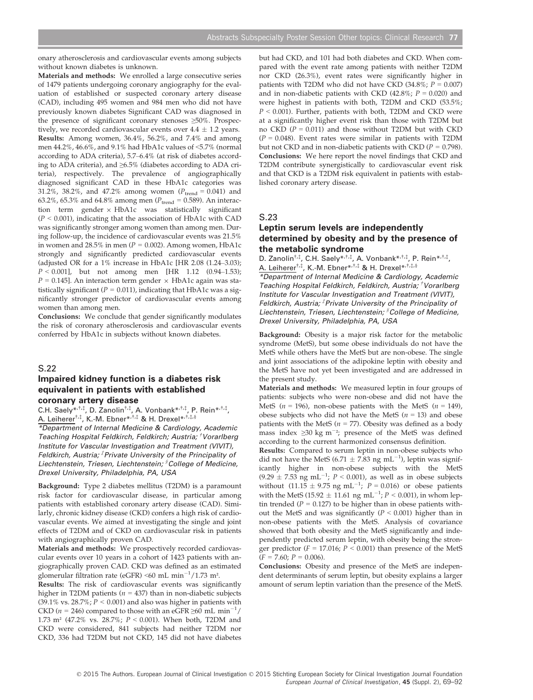onary atherosclerosis and cardiovascular events among subjects without known diabetes is unknown.

Materials and methods: We enrolled a large consecutive series of 1479 patients undergoing coronary angiography for the evaluation of established or suspected coronary artery disease (CAD), including 495 women and 984 men who did not have previously known diabetes Significant CAD was diagnosed in the presence of significant coronary stenoses ≥50%. Prospectively, we recorded cardiovascular events over  $4.4 \pm 1.2$  years. Results: Among women, 36.4%, 56.2%, and 7.4% and among men 44.2%, 46.6%, and 9.1% had HbA1c values of <5.7% (normal according to ADA criteria), 5.7–6.4% (at risk of diabetes according to ADA criteria), and ≥6.5% (diabetes according to ADA criteria), respectively. The prevalence of angiographically diagnosed significant CAD in these HbA1c categories was 31.2%, 38.2%, and 47.2% among women ( $P_{\text{trend}} = 0.041$ ) and 63.2%, 65.3% and 64.8% among men ( $P_{\text{trend}} = 0.589$ ). An interaction term gender  $\times$  HbA1c was statistically significant  $(P < 0.001)$ , indicating that the association of HbA1c with CAD was significantly stronger among women than among men. During follow-up, the incidence of cardiovascular events was 21.5% in women and 28.5% in men ( $P = 0.002$ ). Among women, HbA1c strongly and significantly predicted cardiovascular events (adjusted OR for a 1% increase in HbA1c [HR 2.08 (1.24–3.03);  $P < 0.001$ ], but not among men [HR 1.12 (0.94-1.53);  $P = 0.145$ ]. An interaction term gender  $\times$  HbA1c again was statistically significant ( $P = 0.011$ ), indicating that HbA1c was a significantly stronger predictor of cardiovascular events among women than among men.

Conclusions: We conclude that gender significantly modulates the risk of coronary atherosclerosis and cardiovascular events conferred by HbA1c in subjects without known diabetes.

#### S.22

## Impaired kidney function is a diabetes risk equivalent in patients with established coronary artery disease

C.H. Saely\*<sup>,†,‡</sup>, D. Zanolin<sup>†,‡</sup>, A. Vonbank\*<sup>,†,‡</sup>, P. Rein\*<sup>,†,‡</sup>,<br>A. Leiherer<sup>†,‡</sup>, K.-M. Ebner\*<sup>,†,‡</sup> & H. Drexel\*<sup>,†,‡,§</sup>

\*Department of Internal Medicine & Cardiology, Academic Teaching Hospital Feldkirch, Feldkirch; Austria; † Vorarlberg Institute for Vascular Investigation and Treatment (VIVIT), Feldkirch, Austria; <sup>†</sup> Private University of the Principality of Liechtenstein, Triesen, Liechtenstein; <sup>§</sup> College of Medicine, Drexel University, Philadelphia, PA, USA

Background: Type 2 diabetes mellitus (T2DM) is a paramount risk factor for cardiovascular disease, in particular among patients with established coronary artery disease (CAD). Similarly, chronic kidney disease (CKD) confers a high risk of cardiovascular events. We aimed at investigating the single and joint effects of T2DM and of CKD on cardiovascular risk in patients with angiographically proven CAD.

Materials and methods: We prospectively recorded cardiovascular events over 10 years in a cohort of 1423 patients with angiographically proven CAD. CKD was defined as an estimated glomerular filtration rate (eGFR) <60 mL  $min^{-1}/1.73$  m<sup>2</sup>.

Results: The risk of cardiovascular events was significantly higher in T2DM patients ( $n = 437$ ) than in non-diabetic subjects (39.1% vs. 28.7%;  $P < 0.001$ ) and also was higher in patients with CKD ( $n = 246$ ) compared to those with an eGFR  $\geq 60$  mL min<sup>-1</sup>/<br>1.73 m<sup>2</sup> (47.2%, ys. 28.7%,  $P < 0.001$ ). When both T2DM and 1.73 m<sup>²</sup> (47.2% vs. 28.7%; P <sup>&</sup>lt; 0.001). When both, T2DM and CKD were considered, 841 subjects had neither T2DM nor CKD, 336 had T2DM but not CKD, 145 did not have diabetes but had CKD, and 101 had both diabetes and CKD. When compared with the event rate among patients with neither T2DM nor CKD (26.3%), event rates were significantly higher in patients with T2DM who did not have CKD (34.8%;  $P = 0.007$ ) and in non-diabetic patients with CKD (42.8%;  $P = 0.020$ ) and were highest in patients with both, T2DM and CKD (53.5%;  $P < 0.001$ ). Further, patients with both, T2DM and CKD were at a significantly higher event risk than those with T2DM but no CKD  $(P = 0.011)$  and those without T2DM but with CKD no CKD ( $P = 0.011$ ) and those without T2DM but with CKD ( $P = 0.048$ ). Event rates were similar in patients with T2DM  $(P = 0.048)$ . Event rates were similar in patients with T2DM<br>but not CKD and in pon-diabetic patients with CKD  $(P = 0.798)$ but not CKD and in non-diabetic patients with CKD ( $P = 0.798$ ). Conclusions: We here report the novel findings that CKD and T2DM contribute synergistically to cardiovascular event risk and that CKD is a T2DM risk equivalent in patients with established coronary artery disease.

#### S.23

## Leptin serum levels are independently determined by obesity and by the presence of the metabolic syndrome

D. Zanolin<sup>†,‡</sup>, C.H. Saely\*<sup>,†,‡</sup>, A. Vonbank\*<sup>,†,‡</sup>, P. Rein\*<sup>,†,‡</sup>, A. Leiherer<sup>†,‡</sup>, K.-M. Ebner\*<sup>,†,‡</sup> & H. Drexel\*<sup>,†,‡,§</sup>

\*Department of Internal Medicine & Cardiology, Academic Teaching Hospital Feldkirch, Feldkirch, Austria; † Vorarlberg Institute for Vascular Investigation and Treatment (VIVIT), Feldkirch, Austria; <sup>‡</sup>Private University of the Principality of Liechtenstein, Triesen, Liechtenstein; <sup>§</sup> College of Medicine, Drexel University, Philadelphia, PA, USA

Background: Obesity is a major risk factor for the metabolic syndrome (MetS), but some obese individuals do not have the MetS while others have the MetS but are non-obese. The single and joint associations of the adipokine leptin with obesity and the MetS have not yet been investigated and are addressed in the present study.

Materials and methods: We measured leptin in four groups of patients: subjects who were non-obese and did not have the MetS ( $n = 196$ ), non-obese patients with the MetS ( $n = 149$ ), obese subjects who did not have the MetS ( $n = 13$ ) and obese patients with the MetS ( $n = 77$ ). Obesity was defined as a body mass index ≥30 kg m<sup>-2</sup>; presence of the MetS was defined according to the current harmonized consensus definition.

Results: Compared to serum leptin in non-obese subjects who did not have the MetS (6.71  $\pm$  7.83 ng mL<sup>-1</sup>), leptin was significantly higher in non-obese subjects with the MetS  $(9.29 \pm 7.53 \text{ ng mL}^{-1})$ ;  $P < 0.001$ ), as well as in obese subjects without  $(11.15 \pm 9.75 \text{ ng } \text{mL}^{-1})$ ;  $P = 0.016$ ) or obese patients<br>with the MetS (15.92 + 11.61 ng mJ <sup>-1</sup>;  $P < 0.001$ ) in whom lenwith the MetS (15.92  $\pm$  11.61 ng mL<sup>-1</sup>;  $P < 0.001$ ), in whom lepting translate  $(P = 0.127)$  to be higher than in obses patients with tin trended ( $P = 0.127$ ) to be higher than in obese patients without the MetS and was significantly  $(P < 0.001)$  higher than in non-obese patients with the MetS. Analysis of covariance showed that both obesity and the MetS significantly and independently predicted serum leptin, with obesity being the stronger predictor ( $F = 17.016$ ;  $P < 0.001$ ) than presence of the MetS  $(F = 7.60; P = 0.006).$ 

Conclusions: Obesity and presence of the MetS are independent determinants of serum leptin, but obesity explains a larger amount of serum leptin variation than the presence of the MetS.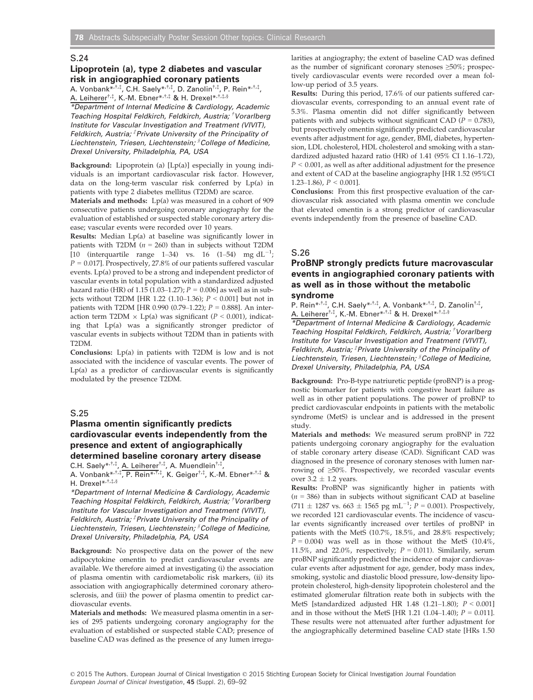#### Lipoprotein (a), type 2 diabetes and vascular risk in angiographied coronary patients

A. Vonbank\*<sup>,†,‡</sup>, C.H. Saely\*<sup>,†,‡</sup>, D. Zanolin<sup>†,‡</sup>, P. Rein\*<sup>,†,‡</sup>,<br>A. Leiherer<sup>†,‡</sup>, K.-M. Ebner\*<sup>,†,‡</sup> & H. Drexel\*<sup>,†,‡,§</sup>

\*Department of Internal Medicine & Cardiology, Academic Teaching Hospital Feldkirch, Feldkirch, Austria; † Vorarlberg Institute for Vascular Investigation and Treatment (VIVIT), Feldkirch, Austria; <sup>†</sup> Private University of the Principality of Liechtenstein, Triesen, Liechtenstein; <sup>§</sup> College of Medicine, Drexel University, Philadelphia, PA, USA

Background: Lipoprotein (a) [Lp(a)] especially in young individuals is an important cardiovascular risk factor. However, data on the long-term vascular risk conferred by Lp(a) in patients with type 2 diabetes mellitus (T2DM) are scarce.

Materials and methods: Lp(a) was measured in a cohort of 909 consecutive patients undergoing coronary angiography for the evaluation of established or suspected stable coronary artery disease; vascular events were recorded over 10 years.

Results: Median Lp(a) at baseline was significantly lower in patients with T2DM ( $n = 260$ ) than in subjects without T2DM [10 (interquartile range  $1-34$ ) vs. 16  $(1-54)$  mg  $dL^{-1}$ ;  $P = 0.017$ ]. Prospectively, 27.8% of our patients suffered vascular events. Lp(a) proved to be a strong and independent predictor of vascular events in total population with a standardized adjusted hazard ratio (HR) of 1.15 (1.03–1.27);  $P = 0.006$ ] as well as in subjects without T2DM [HR 1.22 (1.10–1.36);  $P < 0.001$ ] but not in patients with T2DM [HR 0.990 (0.79–1.22);  $P = 0.888$ ]. An interaction term T2DM  $\times$  Lp(a) was significant (P < 0.001), indicating that Lp(a) was a significantly stronger predictor of vascular events in subjects without T2DM than in patients with T2DM.

Conclusions: Lp(a) in patients with T2DM is low and is not associated with the incidence of vascular events. The power of Lp(a) as a predictor of cardiovascular events is significantly modulated by the presence T2DM.

#### S.25

# Plasma omentin significantly predicts cardiovascular events independently from the presence and extent of angiographically

determined baseline coronary artery disease C.H. Saely\*<sup>,†,‡</sup>, A. Leiherer<sup>†,‡</sup>, A. Muendlein<sup>†,‡</sup>,

A. Vonbank\*<sup>,†,‡</sup>, P. Rein\*<sup>,†,‡</sup>, K. Geiger<sup>†,‡</sup>, K.-M. Ebner\*<sup>,†,‡</sup> & H. Drexel\*,†,‡,§

\*Department of Internal Medicine & Cardiology, Academic Teaching Hospital Feldkirch, Feldkirch, Austria; † Vorarlberg Institute for Vascular Investigation and Treatment (VIVIT), Feldkirch, Austria; <sup>†</sup> Private University of the Principality of Liechtenstein, Triesen, Liechtenstein; <sup>§</sup> College of Medicine, Drexel University, Philadelphia, PA, USA

Background: No prospective data on the power of the new adipocytokine omentin to predict cardiovascular events are available. We therefore aimed at investigating (i) the association of plasma omentin with cardiometabolic risk markers, (ii) its association with angiographically determined coronary atherosclerosis, and (iii) the power of plasma omentin to predict cardiovascular events.

Materials and methods: We measured plasma omentin in a series of 295 patients undergoing coronary angiography for the evaluation of established or suspected stable CAD; presence of baseline CAD was defined as the presence of any lumen irregularities at angiography; the extent of baseline CAD was defined as the number of significant coronary stenoses ≥50%; prospectively cardiovascular events were recorded over a mean follow-up period of 3.5 years.

Results: During this period, 17.6% of our patients suffered cardiovascular events, corresponding to an annual event rate of 5.3%. Plasma omentin did not differ significantly between patients with and subjects without significant CAD ( $P = 0.783$ ), but prospectively omentin significantly predicted cardiovascular events after adjustment for age, gender, BMI, diabetes, hypertension, LDL cholesterol, HDL cholesterol and smoking with a standardized adjusted hazard ratio (HR) of 1.41 (95% CI 1.16–1.72),  $P < 0.001$ , as well as after additional adjustment for the presence and extent of CAD at the baseline angiography [HR 1.52 (95%CI 1.23–1.86),  $P < 0.001$ ].

Conclusions: From this first prospective evaluation of the cardiovascular risk associated with plasma omentin we conclude that elevated omentin is a strong predictor of cardiovascular events independently from the presence of baseline CAD.

#### S.26

## ProBNP strongly predicts future macrovascular events in angiographied coronary patients with as well as in those without the metabolic syndrome

P. Rein\* $\cdot^{\dagger,\ddagger}$ , C.H. Saely\* $\cdot^{\dagger,\ddagger}$ , A. Vonbank\* $\cdot^{\dagger,\ddagger}$ , D. Zanolin $^{\dagger,\ddagger}$ , A. Leiherer<sup>†,‡</sup>, K.-M. Ebner\*<sup>,†,‡</sup> & H. Drexel\*<sup>,†,‡,§</sup>

\*Department of Internal Medicine & Cardiology, Academic Teaching Hospital Feldkirch, Feldkirch, Austria; † Vorarlberg Institute for Vascular Investigation and Treatment (VIVIT), Feldkirch, Austria;<sup>†</sup> Private University of the Principality of Liechtenstein, Triesen, Liechtenstein; <sup>§</sup> College of Medicine, Drexel University, Philadelphia, PA, USA

Background: Pro-B-type natriuretic peptide (proBNP) is a prognostic biomarker for patients with congestive heart failure as well as in other patient populations. The power of proBNP to predict cardiovascular endpoints in patients with the metabolic syndrome (MetS) is unclear and is addressed in the present study.

Materials and methods: We measured serum proBNP in 722 patients undergoing coronary angiography for the evaluation of stable coronary artery disease (CAD). Significant CAD was diagnosed in the presence of coronary stenoses with lumen narrowing of ≥50%. Prospectively, we recorded vascular events over  $3.2 \pm 1.2$  years.

Results: ProBNP was significantly higher in patients with  $(n = 386)$  than in subjects without significant CAD at baseline  $(711 \pm 1287 \text{ vs. } 663 \pm 1565 \text{ pg } \text{mL}^{-1}; P = 0.001)$ . Prospectively, we recorded 121 cardiovascular events. The incidence of vascular events significantly increased over tertiles of proBNP in patients with the MetS (10.7%, 18.5%, and 28.8% respectively;  $P = 0.004$ ) was well as in those without the MetS (10.4%, 11.5%, and 22.0%, respectively;  $P = 0.011$ ). Similarily, serum proBNP significantly predicted the incidence of major cardiovascular events after adjustment for age, gender, body mass index, smoking, systolic and diastolic blood pressure, low-density lipoprotein cholesterol, high-density lipoprotein cholesterol and the estimated glomerular filtration reate both in subjects with the MetS [standardized adjusted HR 1.48 (1.21-1.80);  $P < 0.001$ ] and in those without the MetS [HR 1.21 (1.04–1.40);  $P = 0.011$ ]. These results were not attenuated after further adjustment for the angiographically determined baseline CAD state [HRs 1.50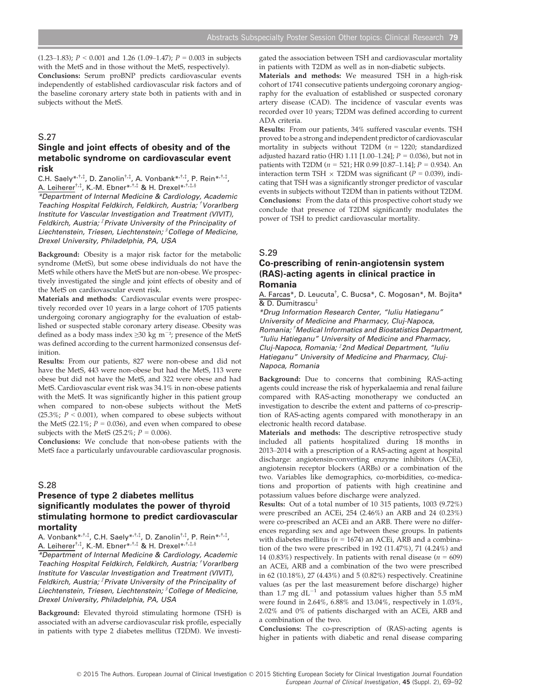(1.23–1.83);  $P < 0.001$  and 1.26 (1.09–1.47);  $P = 0.003$  in subjects with the MetS and in those without the MetS, respectively). Conclusions: Serum proBNP predicts cardiovascular events independently of established cardiovascular risk factors and of the baseline coronary artery state both in patients with and in subjects without the MetS.

## S.27

## Single and joint effects of obesity and of the metabolic syndrome on cardiovascular event risk

C.H. Saely\*<sup>,†,‡</sup>, D. Zanolin<sup>†,‡</sup>, A. Vonbank\*<sup>,†,‡</sup>, P. Rein\*<sup>,†,‡</sup>, A. Leiherer<sup>†,‡</sup>, K.-M. Ebner\*<sup>,†,‡</sup> & H. Drexel\*<sup>,†,‡,§</sup>

\*Department of Internal Medicine & Cardiology, Academic Teaching Hospital Feldkirch, Feldkirch, Austria; † Vorarlberg Institute for Vascular Investigation and Treatment (VIVIT), Feldkirch, Austria; <sup>†</sup> Private University of the Principality of Liechtenstein, Triesen, Liechtenstein; <sup>§</sup> College of Medicine, Drexel University, Philadelphia, PA, USA

Background: Obesity is a major risk factor for the metabolic syndrome (MetS), but some obese individuals do not have the MetS while others have the MetS but are non-obese. We prospectively investigated the single and joint effects of obesity and of the MetS on cardiovascular event risk.

Materials and methods: Cardiovascular events were prospectively recorded over 10 years in a large cohort of 1705 patients undergoing coronary angiography for the evaluation of established or suspected stable coronary artery disease. Obesity was defined as a body mass index  $\geq 30$  kg m<sup>-2</sup>; presence of the MetS was defined according to the current harmonized consensus definition.

Results: From our patients, 827 were non-obese and did not have the MetS, 443 were non-obese but had the MetS, 113 were obese but did not have the MetS, and 322 were obese and had MetS. Cardiovascular event risk was 34.1% in non-obese patients with the MetS. It was significantly higher in this patient group when compared to non-obese subjects without the MetS (25.3%;  $P < 0.001$ ), when compared to obese subjects without the MetS (22.1%;  $P = 0.036$ ), and even when compared to obese subjects with the MetS (25.2%;  $P = 0.006$ ).

Conclusions: We conclude that non-obese patients with the MetS face a particularly unfavourable cardiovascular prognosis.

#### S.28

## Presence of type 2 diabetes mellitus significantly modulates the power of thyroid stimulating hormone to predict cardiovascular mortality

A. Vonbank\* $\dot{h}^{\ddagger,\ddagger}$ , C.H. Saely\* $\dot{h}^{\ddagger,\ddagger}$ , D. Zanolin $^{\dagger,\ddagger}$ , P. Rein\* $\dot{h}^{\ddagger,\ddagger}$ , A. Leiherer $^{\dagger,\ddagger}$ , K.-M. Ebner $^{*,\dagger,\ddagger}$  & H. Drexel $^{*,\dagger,\ddagger,\S}$ 

\*Department of Internal Medicine & Cardiology, Academic Teaching Hospital Feldkirch, Feldkirch, Austria; † Vorarlberg Institute for Vascular Investigation and Treatment (VIVIT), Feldkirch, Austria; <sup>†</sup> Private University of the Principality of Liechtenstein, Triesen, Liechtenstein; <sup>§</sup> College of Medicine, Drexel University, Philadelphia, PA, USA

Background: Elevated thyroid stimulating hormone (TSH) is associated with an adverse cardiovascular risk profile, especially in patients with type 2 diabetes mellitus (T2DM). We investigated the association between TSH and cardiovascular mortality in patients with T2DM as well as in non-diabetic subjects.

Materials and methods: We measured TSH in a high-risk cohort of 1741 consecutive patients undergoing coronary angiography for the evaluation of established or suspected coronary artery disease (CAD). The incidence of vascular events was recorded over 10 years; T2DM was defined according to current ADA criteria.

Results: From our patients, 34% suffered vascular events. TSH proved to be a strong andindependent predictor of cardiovascular mortality in subjects without T2DM ( $n = 1220$ ; standardized adjusted hazard ratio (HR) 1.11 [1.00–1.24];  $P = 0.036$ ), but not in patients with T2DM ( $n = 521$ ; HR 0.99 [0.87-1.14];  $P = 0.934$ ). An interaction term TSH  $\times$  T2DM was significant (P = 0.039), indicating that TSH was a significantly stronger predictor of vascular events in subjects without T2DM than in patients without T2DM. Conclusions: From the data of this prospective cohort study we conclude that presence of T2DM significantly modulates the power of TSH to predict cardiovascular mortality.

#### S.29

## Co-prescribing of renin-angiotensin system (RAS)-acting agents in clinical practice in Romania

A. Farcas\*, D. Leucuta<sup>†</sup>, C. Bucsa\*, C. Mogosan\*, M. Bojita\* & D. Dumitrascu‡

\*Drug Information Research Center, "Iuliu Hatieganu" University of Medicine and Pharmacy, Cluj-Napoca, Romania; † Medical Informatics and Biostatistics Department, "Iuliu Hatieganu" University of Medicine and Pharmacy, Cluj-Napoca, Romania; <sup>‡</sup> 2nd Medical Department, "Iuliu Hatieganu" University of Medicine and Pharmacy, Cluj-Napoca, Romania

Background: Due to concerns that combining RAS-acting agents could increase the risk of hyperkalaemia and renal failure compared with RAS-acting monotherapy we conducted an investigation to describe the extent and patterns of co-prescription of RAS-acting agents compared with monotherapy in an electronic health record database.

Materials and methods: The descriptive retrospective study included all patients hospitalized during 18 months in 2013–2014 with a prescription of a RAS-acting agent at hospital discharge: angiotensin-converting enzyme inhibitors (ACEi), angiotensin receptor blockers (ARBs) or a combination of the two. Variables like demographics, co-morbidities, co-medications and proportion of patients with high creatinine and potassium values before discharge were analyzed.

Results: Out of a total number of 10 315 patients, 1003 (9.72%) were prescribed an ACEi, 254 (2.46%) an ARB and 24 (0.23%) were co-prescribed an ACEi and an ARB. There were no differences regarding sex and age between these groups. In patients with diabetes mellitus ( $n = 1674$ ) an ACEi, ARB and a combination of the two were prescribed in 192 (11.47%), 71 (4.24%) and 14 (0.83%) respectively. In patients with renal disease ( $n = 609$ ) an ACEi, ARB and a combination of the two were prescribed in 62 (10.18%), 27 (4.43%) and 5 (0.82%) respectively. Creatinine values (as per the last measurement before discharge) higher than 1.7 mg  $dL^{-1}$  and potassium values higher than 5.5 mM were found in 2.64%, 6.88% and 13.04%, respectively in 1.03%, 2.02% and 0% of patients discharged with an ACEi, ARB and a combination of the two.

Conclusions: The co-prescription of (RAS)-acting agents is higher in patients with diabetic and renal disease comparing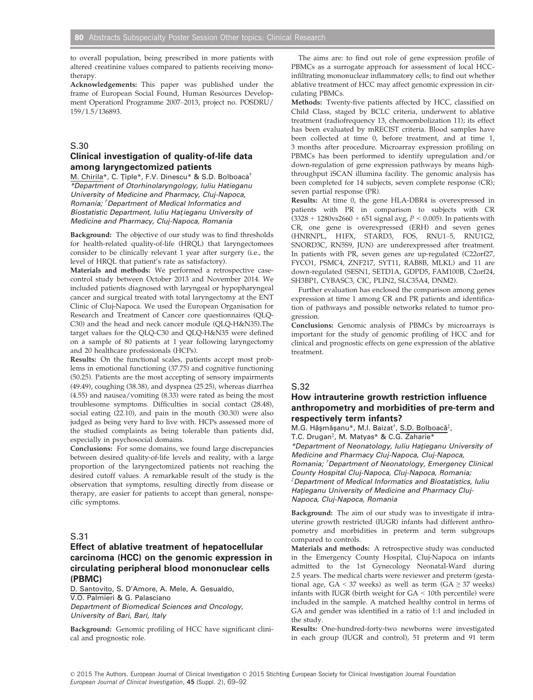to overall population, being prescribed in more patients with altered creatinine values compared to patients receiving monotherapy.

Acknowledgements: This paper was published under the frame of European Social Found, Human Resources Development Operationl Programme 2007–2013, project no. POSDRU/ 159/1.5/136893.

## S.30

#### Clinical investigation of quality-of-life data among laryngectomized patients

M. Chirila\*, C. Tiple\*, F.V. Dinescu\* & S.D. Bolboaca† \*Department of Otorhinolaryngology, Iuliu Hatieganu University of Medicine and Pharmacy, Cluj-Napoca, Romania; † Department of Medical Informatics and Biostatistic Department, Iuliu Hatieganu University of Medicine and Pharmacy, Cluj-Napoca, Romania

Background: The objective of our study was to find thresholds for health-related quality-of-life (HRQL) that laryngectomees consider to be clinically relevant 1 year after surgery (i.e., the level of HRQL that patient's rate as satisfactory).

Materials and methods: We performed a retrospective casecontrol study between October 2013 and November 2014. We included patients diagnosed with laryngeal or hypopharyngeal cancer and surgical treated with total laryngectomy at the ENT Clinic of Cluj-Napoca. We used the European Organisation for Research and Treatment of Cancer core questionnaires (QLQ-C30) and the head and neck cancer module (QLQ-H&N35).The target values for the QLQ-C30 and QLQ-H&N35 were defined on a sample of 80 patients at 1 year following laryngectomy and 20 healthcare professionals (HCPs).

Results: On the functional scales, patients accept most problems in emotional functioning (37.75) and cognitive functioning (50.25). Patients are the most accepting of sensory impairments (49.49), coughing (38.38), and dyspnea (25.25), whereas diarrhea (4.55) and nausea/vomiting (8.33) were rated as being the most troublesome symptoms. Difficulties in social contact (28.48), social eating (22.10), and pain in the mouth (30.30) were also judged as being very hard to live with. HCPs assessed more of the studied complaints as being tolerable than patients did, especially in psychosocial domains.

Conclusions: For some domains, we found large discrepancies between desired quality-of-life levels and reality, with a large proportion of the laryngectomized patients not reaching the desired cutoff values. A remarkable result of the study is the observation that symptoms, resulting directly from disease or therapy, are easier for patients to accept than general, nonspecific symptoms.

### S.31

## Effect of ablative treatment of hepatocellular carcinoma (HCC) on the genomic expression in circulating peripheral blood mononuclear cells (PBMC)

D. Santovito, S. D'Amore, A. Mele, A. Gesualdo, V.O. Palmieri & G. Palasciano Department of Biomedical Sciences and Oncology, University of Bari, Bari, Italy

Background: Genomic profiling of HCC have significant clinical and prognostic role.

The aims are: to find out role of gene expression profile of PBMCs as a surrogate approach for assessment of local HCCinfiltrating mononuclear inflammatory cells; to find out whether ablative treatment of HCC may affect genomic expression in circulating PBMCs.

Methods: Twenty-five patients affected by HCC, classified on Child Class, staged by BCLC criteria, underwent to ablative treatment (radiofrequency 13, chemoembolization 11); its effect has been evaluated by mRECIST criteria. Blood samples have been collected at time 0, before treatment, and at time 1, 3 months after procedure. Microarray expression profiling on PBMCs has been performed to identify upregulation and/or down-regulation of gene expression pathways by means highthroughput iSCAN illumina facility. The genomic analysis has been completed for 14 subjects, seven complete response (CR); seven partial response (PR).

Results: At time 0, the gene HLA-DBR4 is overexpressed in patients with PR in comparison to subjects with CR (3328 + 1280vs2660 + 651 signal avg,  $P < 0.005$  . In patients with CR, one gene is overexpressed (ERH) and seven genes (HNRNPL, H1FX, STARD3, FOS, RNU1–5, RNU1G2, SNORD3C, RN5S9, JUN) are underexpressed after treatment. In patients with PR, seven genes are up-regulated (C22orf27, FYCO1, PSMC4, ZNF217, SYT11, RAB8B, MLKL) and 11 are down-regulated (SESN1, SETD1A, GDPD5, FAM100B, C2orf24, SH3BP1, CYBASC3, CIC, PLIN2, SLC35A4, DNM2).

Further evaluation has enclosed the comparison among genes expression at time 1 among CR and PR patients and identification of pathways and possible networks related to tumor progression.

Conclusions: Genomic analysis of PBMCs by microarrays is important for the study of genomic profiling of HCC and for clinical and prognostic effects on gene expression of the ablative treatment.

#### S.32

## How intrauterine growth restriction influence anthropometry and morbidities of pre-term and respectively term infants?

M.G. Hăşmăşanu\*, M.I. Baizat<sup>†</sup>, S.D. Bolboacă<sup>‡</sup>,

T.C. Drugan<sup>‡</sup>, M. Matyas\* & C.G. Zaharie\*

\*Department of Neonatology, Iuliu Hațieganu University of Medicine and Pharmacy Cluj-Napoca, Cluj-Napoca, Romania; † Department of Neonatology, Emergency Clinical County Hospital Cluj-Napoca, Cluj-Napoca, Romania; ‡ Department of Medical Informatics and Biostatistics, Iuliu Hatieganu University of Medicine and Pharmacy Cluj-Napoca, Cluj-Napoca, Romania

Background: The aim of our study was to investigate if intrauterine growth restricted (IUGR) infants had different anthropometry and morbidities in preterm and term subgroups compared to controls.

Materials and methods: A retrospective study was conducted in the Emergency County Hospital, Cluj-Napoca on infants admitted to the 1st Gynecology Neonatal-Ward during 2.5 years. The medical charts were reviewer and preterm (gestational age,  $GA < 37$  weeks) as well as term  $(GA \geq 37$  weeks) infants with IUGR (birth weight for GA < 10th percentile) were included in the sample. A matched healthy control in terms of GA and gender was identified in a ratio of 1:1 and included in the study.

Results: One-hundred-forty-two newborns were investigated in each group (IUGR and control), 51 preterm and 91 term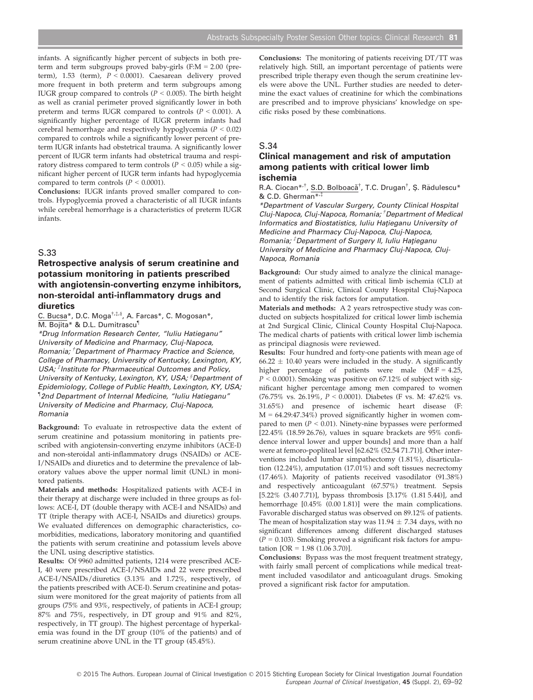infants. A significantly higher percent of subjects in both preterm and term subgroups proved baby-girls (F:M = 2.00 (preterm), 1.53 (term), P <sup>&</sup>lt; 0.0001). Caesarean delivery proved more frequent in both preterm and term subgroups among IUGR group compared to controls ( $P < 0.005$ ). The birth height as well as cranial perimeter proved significantly lower in both preterm and terms IUGR compared to controls ( $P < 0.001$ ). A significantly higher percentage of IUGR preterm infants had cerebral hemorrhage and respectively hypoglycemia (P <sup>&</sup>lt; 0.02) compared to controls while a significantly lower percent of preterm IUGR infants had obstetrical trauma. A significantly lower percent of IUGR term infants had obstetrical trauma and respiratory distress compared to term controls ( $P < 0.05$ ) while a significant higher percent of IUGR term infants had hypoglycemia compared to term controls ( $P < 0.0001$ ).

Conclusions: IUGR infants proved smaller compared to controls. Hypoglycemia proved a characteristic of all IUGR infants while cerebral hemorrhage is a characteristics of preterm IUGR infants.

#### S.33

## Retrospective analysis of serum creatinine and potassium monitoring in patients prescribed with angiotensin-converting enzyme inhibitors, non-steroidal anti-inflammatory drugs and diuretics

C. Bucsa\*, D.C. Moga<sup>†,‡,§</sup>, A. Farcas\*, C. Mogosan\*, M. Bojita\* & D.L. Dumitrascu¶

\*Drug Information Research Center, "Iuliu Hatieganu" University of Medicine and Pharmacy, Cluj-Napoca, Romania; † Department of Pharmacy Practice and Science, College of Pharmacy, University of Kentucky, Lexington, KY, USA;<sup>†</sup> Institute for Pharmaceutical Outcomes and Policy, University of Kentucky, Lexington, KY, USA; SDepartment of Epidemiology, College of Public Health, Lexington, KY, USA; ¶ 2nd Department of Internal Medicine, "Iuliu Hatieganu" University of Medicine and Pharmacy, Cluj-Napoca, Romania

Background: To evaluate in retrospective data the extent of serum creatinine and potassium monitoring in patients prescribed with angiotensin-converting enzyme inhibitors (ACE-I) and non-steroidal anti-inflammatory drugs (NSAIDs) or ACE-I/NSAIDs and diuretics and to determine the prevalence of laboratory values above the upper normal limit (UNL) in monitored patients.

Materials and methods: Hospitalized patients with ACE-I in their therapy at discharge were included in three groups as follows: ACE-I, DT (double therapy with ACE-I and NSAIDs) and TT (triple therapy with ACE-I, NSAIDs and diuretics) groups. We evaluated differences on demographic characteristics, comorbidities, medications, laboratory monitoring and quantified the patients with serum creatinine and potassium levels above the UNL using descriptive statistics.

Results: Of 9960 admitted patients, 1214 were prescribed ACE-I, 40 were prescribed ACE-I/NSAIDs and 22 were prescribed ACE-I/NSAIDs/diuretics (3.13% and 1.72%, respectively, of the patients prescribed with ACE-I). Serum creatinine and potassium were monitored for the great majority of patients from all groups (75% and 93%, respectively, of patients in ACE-I group; 87% and 75%, respectively, in DT group and 91% and 82%, respectively, in TT group). The highest percentage of hyperkalemia was found in the DT group (10% of the patients) and of serum creatinine above UNL in the TT group (45.45%).

Conclusions: The monitoring of patients receiving DT/TT was relatively high. Still, an important percentage of patients were prescribed triple therapy even though the serum creatinine levels were above the UNL. Further studies are needed to determine the exact values of creatinine for which the combinations are prescribed and to improve physicians' knowledge on specific risks posed by these combinations.

#### S.34

#### Clinical management and risk of amputation among patients with critical lower limb ischemia

R.A. Ciocan\*<sup>,†</sup>, S.D. Bolboacă<sup>†</sup>, T.C. Drugan<sup>†</sup>, Ş. Rădulescu\* & C.D. Gherman\*,<sup>‡</sup>

\*Department of Vascular Surgery, County Clinical Hospital Cluj-Napoca, Cluj-Napoca, Romania; † Department of Medical Informatics and Biostatistics, Iuliu Hațieganu University of Medicine and Pharmacy Cluj-Napoca, Cluj-Napoca, Romania; <sup>†</sup> Department of Surgery II, Iuliu Hațieganu University of Medicine and Pharmacy Cluj-Napoca, Cluj-Napoca, Romania

Background: Our study aimed to analyze the clinical management of patients admitted with critical limb ischemia (CLI) at Second Surgical Clinic, Clinical County Hospital Cluj-Napoca and to identify the risk factors for amputation.

Materials and methods: A 2 years retrospective study was conducted on subjects hospitalized for critical lower limb ischemia at 2nd Surgical Clinic, Clinical County Hospital Cluj-Napoca. The medical charts of patients with critical lower limb ischemia as principal diagnosis were reviewed.

Results: Four hundred and forty-one patients with mean age of  $66.22 \pm 10.40$  years were included in the study. A significantly higher percentage of patients were male  $(M:F = 4.25)$ ,  $P < 0.0001$ ). Smoking was positive on 67.12% of subject with significant higher percentage among men compared to women (76.75% vs. 26.19%, P <sup>&</sup>lt; 0.0001). Diabetes (F vs. M: 47.62% vs. 31.65%) and presence of ischemic heart disease (F:  $M = 64.29:47.34\%)$  proved significantly higher in women compared to men ( $P < 0.01$ ). Ninety-nine bypasses were performed [22.45% (18.59 26.76), values in square brackets are 95% confidence interval lower and upper bounds] and more than a half were at femoro-popliteal level [62.62% (52.54 71.71)]. Other interventions included lumbar simpathectomy (1.81%), disarticulation (12.24%), amputation (17.01%) and soft tissues necrectomy (17.46%). Majority of patients received vasodilator (91.38%) and respectively anticoagulant (67.57%) treatment. Sepsis [5.22% (3.40 7.71)], bypass thrombosis [3.17% (1.81 5.44)], and hemorrhage [0.45% (0.00 1.81)] were the main complications. Favorable discharged status was observed on 89.12% of patients. The mean of hospitalization stay was  $11.94 \pm 7.34$  days, with no significant differences among different discharged statuses  $(P = 0.103)$ . Smoking proved a significant risk factors for amputation [OR = 1.98 (1.06 3.70)].

Conclusions: Bypass was the most frequent treatment strategy, with fairly small percent of complications while medical treatment included vasodilator and anticoagulant drugs. Smoking proved a significant risk factor for amputation.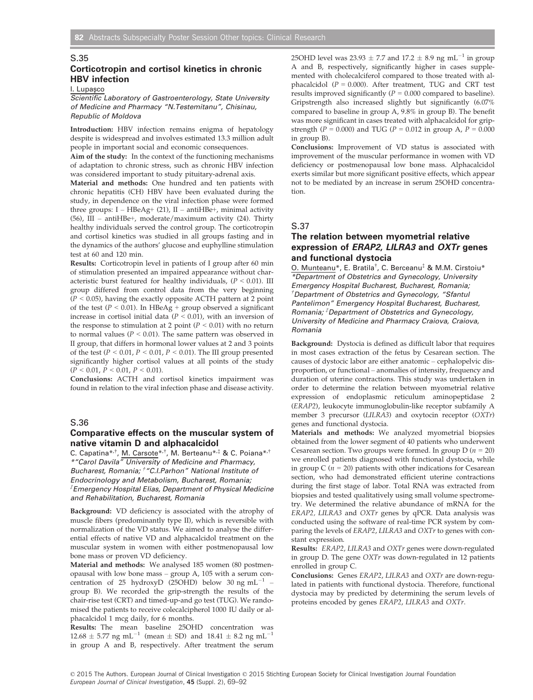## Corticotropin and cortisol kinetics in chronic HBV infection

#### I. Lupașco

Scientific Laboratory of Gastroenterology, State University of Medicine and Pharmacy "N.Testemitanu", Chisinau, Republic of Moldova

Introduction: HBV infection remains enigma of hepatology despite is widespread and involves estimated 13.3 million adult people in important social and economic consequences.

Aim of the study: In the context of the functioning mechanisms of adaptation to chronic stress, such as chronic HBV infection was considered important to study pituitary-adrenal axis.

Material and methods: One hundred and ten patients with chronic hepatitis (CH) HBV have been evaluated during the study, in dependence on the viral infection phase were formed three groups:  $I - HBeAg+ (21)$ ,  $II - antiHBe+$ , minimal activity (56), III – antiHBe+, moderate/maximum activity (24). Thirty healthy individuals served the control group. The corticotropin and cortisol kinetics was studied in all groups fasting and in the dynamics of the authors' glucose and euphylline stimulation test at 60 and 120 min.

Results: Corticotropin level in patients of I group after 60 min of stimulation presented an impaired appearance without characteristic burst featured for healthy individuals,  $(P < 0.01)$ . III group differed from control data from the very beginning  $(P < 0.05)$ , having the exactly opposite ACTH pattern at 2 point of the test ( $P < 0.01$ ). In HBeAg + group observed a significant increase in cortisol initial data ( $P < 0.01$ ), with an inversion of the response to stimulation at 2 point ( $P < 0.01$ ) with no return to normal values ( $P < 0.01$ ). The same pattern was observed in II group, that differs in hormonal lower values at 2 and 3 points of the test  $(P < 0.01, P < 0.01, P < 0.01)$ . The III group presented significantly higher cortisol values at all points of the study  $(P < 0.01, P < 0.01, P < 0.01).$ 

Conclusions: ACTH and cortisol kinetics impairment was found in relation to the viral infection phase and disease activity.

#### S.36

#### Comparative effects on the muscular system of native vitamin D and alphacalcidol

C. Capatina\*<sup>,†</sup>, M. Carsote\*<sup>,†</sup>, M. Berteanu\*<sup>,‡</sup> & C. Poiana\*<sup>,†</sup> \*"Carol Davila" University of Medicine and Pharmacy, Bucharest, Romania; <sup>†</sup> "C.I.Parhon" National Institute of Endocrinology and Metabolism, Bucharest, Romania;  ${}^{\sharp}$ Emergency Hospital Elias, Department of Physical Medicine and Rehabilitation, Bucharest, Romania

Background: VD deficiency is associated with the atrophy of muscle fibers (predominantly type II), which is reversible with normalization of the VD status. We aimed to analyse the differential effects of native VD and alphacalcidol treatment on the muscular system in women with either postmenopausal low bone mass or proven VD deficiency.

Material and methods: We analysed 185 women (80 postmenopausal with low bone mass – group A, 105 with a serum concentration of 25 hydroxyD (25OHD) below 30 ng mL<sup>-1</sup> – group B). We recorded the grip-strength the results of the chair-rise test (CRT) and timed-up-and go test (TUG). We randomised the patients to receive colecalcipherol 1000 IU daily or alphacalcidol 1 mcg daily, for 6 months.

Results: The mean baseline 25OHD concentration was  $12.68\pm5.77$ ng mL<sup>-1</sup> (mean  $\pm$  SD) and  $18.41\pm8.2$  ng mL<sup>-1</sup> in group A and B, respectively. After treatment the serum 25OHD level was  $23.93 \pm 7.7$  and  $17.2 \pm 8.9$  ng mL<sup>-1</sup> in group A and B, respectively, significantly higher in cases supplemented with cholecalciferol compared to those treated with alphacalcidol ( $P = 0.000$ ). After treatment, TUG and CRT test results improved significantly ( $P = 0.000$  compared to baseline). Gripstrength also increased slightly but significantly (6.07% compared to baseline in group A, 9.8% in group B). The benefit was more significant in cases treated with alphacalcidol for gripstrength ( $P = 0.000$ ) and TUG ( $P = 0.012$  in group A,  $P = 0.000$ ) in group B).

Conclusions: Improvement of VD status is associated with improvement of the muscular performance in women with VD deficiency or postmenopausal low bone mass. Alphacalcidol exerts similar but more significant positive effects, which appear not to be mediated by an increase in serum 25OHD concentration.

#### S.37

## The relation between myometrial relative expression of ERAP2, LILRA3 and OXTr genes and functional dystocia

O. Munteanu\*, E. Bratila† , C. Berceanu‡ & M.M. Cirstoiu\* \*Department of Obstetrics and Gynecology, University Emergency Hospital Bucharest, Bucharest, Romania; † Department of Obstetrics and Gynecology, "Sfantul Pantelimon" Emergency Hospital Bucharest, Bucharest, Romania;<sup>†</sup> Department of Obstetrics and Gynecology, University of Medicine and Pharmacy Craiova, Craiova, Romania

Background: Dystocia is defined as difficult labor that requires in most cases extraction of the fetus by Cesarean section. The causes of dystocic labor are either anatomic – cephalopelvic disproportion, or functional – anomalies of intensity, frequency and duration of uterine contractions. This study was undertaken in order to determine the relation between myometrial relative expression of endoplasmic reticulum aminopeptidase 2 (ERAP2), leukocyte immunoglobulin-like receptor subfamily A member 3 precursor (LILRA3) and oxytocin receptor (OXTr) genes and functional dystocia.

Materials and methods: We analyzed myometrial biopsies obtained from the lower segment of 40 patients who underwent Cesarean section. Two groups were formed. In group  $D (n = 20)$ we enrolled patients diagnosed with functional dystocia, while in group  $C$  ( $n = 20$ ) patients with other indications for Cesarean section, who had demonstrated efficient uterine contractions during the first stage of labor. Total RNA was extracted from biopsies and tested qualitatively using small volume spectrometry. We determined the relative abundance of mRNA for the ERAP2, LILRA3 and OXTr genes by qPCR. Data analysis was conducted using the software of real-time PCR system by comparing the levels of ERAP2, LILRA3 and OXTr to genes with constant expression.

Results: ERAP2, LILRA3 and OXTr genes were down-regulated in group D. The gene OXTr was down-regulated in 12 patients enrolled in group C.

Conclusions: Genes ERAP2, LILRA3 and OXTr are down-regulated in patients with functional dystocia. Therefore, functional dystocia may by predicted by determining the serum levels of proteins encoded by genes ERAP2, LILRA3 and OXTr.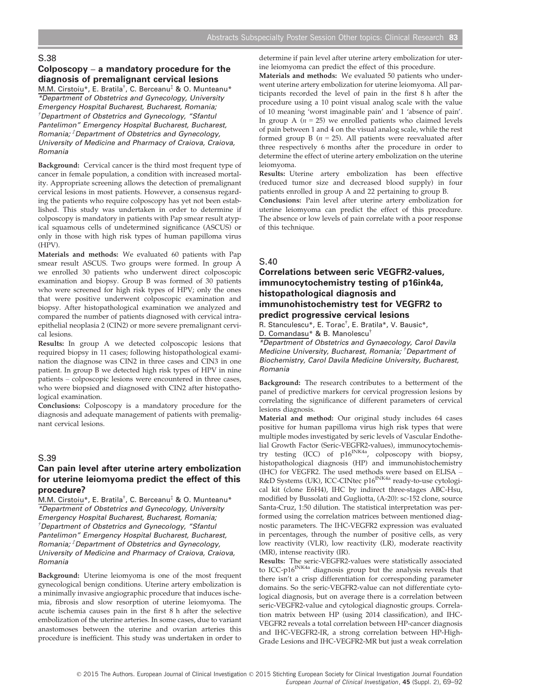## Colposcopy – a mandatory procedure for the diagnosis of premalignant cervical lesions

M.M. Cirstoiu\*, E. Bratila<sup>†</sup>, C. Berceanu<sup>‡</sup> & O. Munteanu\* \*Department of Obstetrics and Gynecology, University Emergency Hospital Bucharest, Bucharest, Romania; † Department of Obstetrics and Gynecology, "Sfantul Pantelimon" Emergency Hospital Bucharest, Bucharest, Romania;<sup>†</sup> Department of Obstetrics and Gynecology, University of Medicine and Pharmacy of Craiova, Craiova, Romania

Background: Cervical cancer is the third most frequent type of cancer in female population, a condition with increased mortality. Appropriate screening allows the detection of premalignant cervical lesions in most patients. However, a consensus regarding the patients who require colposcopy has yet not been established. This study was undertaken in order to determine if colposcopy is mandatory in patients with Pap smear result atypical squamous cells of undetermined significance (ASCUS) or only in those with high risk types of human papilloma virus (HPV).

Materials and methods: We evaluated 60 patients with Pap smear result ASCUS. Two groups were formed. In group A we enrolled 30 patients who underwent direct colposcopic examination and biopsy. Group B was formed of 30 patients who were screened for high risk types of HPV; only the ones that were positive underwent colposcopic examination and biopsy. After histopathological examination we analyzed and compared the number of patients diagnosed with cervical intraepithelial neoplasia 2 (CIN2) or more severe premalignant cervical lesions.

Results: In group A we detected colposcopic lesions that required biopsy in 11 cases; following histopathological examination the diagnose was CIN2 in three cases and CIN3 in one patient. In group B we detected high risk types of HPV in nine patients – colposcopic lesions were encountered in three cases, who were biopsied and diagnosed with CIN2 after histopathological examination.

Conclusions: Colposcopy is a mandatory procedure for the diagnosis and adequate management of patients with premalignant cervical lesions.

#### S.39

## Can pain level after uterine artery embolization for uterine leiomyoma predict the effect of this procedure?

M.M. Cirstoiu\*, E. Bratila<sup>†</sup>, C. Berceanu<sup>‡</sup> & O. Munteanu\* \*Department of Obstetrics and Gynecology, University Emergency Hospital Bucharest, Bucharest, Romania; † Department of Obstetrics and Gynecology, "Sfantul Pantelimon" Emergency Hospital Bucharest, Bucharest, Romania;<sup>†</sup> Department of Obstetrics and Gynecology, University of Medicine and Pharmacy of Craiova, Craiova, Romania

Background: Uterine leiomyoma is one of the most frequent gynecological benign conditions. Uterine artery embolization is a minimally invasive angiographic procedure that induces ischemia, fibrosis and slow resorption of uterine leiomyoma. The acute ischemia causes pain in the first 8 h after the selective embolization of the uterine arteries. In some cases, due to variant anastomoses between the uterine and ovarian arteries this procedure is inefficient. This study was undertaken in order to

determine if pain level after uterine artery embolization for uterine leiomyoma can predict the effect of this procedure.

Materials and methods: We evaluated 50 patients who underwent uterine artery embolization for uterine leiomyoma. All participants recorded the level of pain in the first 8 h after the procedure using a 10 point visual analog scale with the value of 10 meaning 'worst imaginable pain' and 1 'absence of pain'.<br>In group A ( $n = 25$ ) we enrolled patients who claimed levels In group A  $(n = 25)$  we enrolled patients who claimed levels of pain between 1 and 4 on the visual analog scale, while the rest formed group B ( $n = 25$ ). All patients were reevaluated after three respectively 6 months after the procedure in order to determine the effect of uterine artery embolization on the uterine leiomyoma.

Results: Uterine artery embolization has been effective (reduced tumor size and decreased blood supply) in four patients enrolled in group A and 22 pertaining to group B.

Conclusions: Pain level after uterine artery embolization for uterine leiomyoma can predict the effect of this procedure. The absence or low levels of pain correlate with a poor response of this technique.

#### S.40

## Correlations between seric VEGFR2-values, immunocytochemistry testing of p16ink4a, histopathological diagnosis and immunohistochemistry test for VEGFR2 to predict progressive cervical lesions

R. Stanculescu\*, E. Torac<sup>†</sup>, E. Bratila\*, V. Bausic\*,

D. Comandasu\* & B. Manolescu†

\*Department of Obstetrics and Gynaecology, Carol Davila Medicine University, Bucharest, Romania; <sup>†</sup> Department of Biochemistry, Carol Davila Medicine University, Bucharest, Romania

Background: The research contributes to a betterment of the panel of predictive markers for cervical progression lesions by correlating the significance of different parameters of cervical lesions diagnosis.

Material and method: Our original study includes 64 cases positive for human papilloma virus high risk types that were multiple modes investigated by seric levels of Vascular Endothelial Growth Factor (Seric-VEGFR2-values), immunocytochemistry testing  $(ICC)$  of  $p16^{INK4a}$ , colposcopy with biopsy, histopathological diagnosis (HP) and immunohistochemistry (IHC) for VEGFR2. The used methods were based on ELISA – R&D Systems (UK), ICC-CINtec p16<sup>INK4a</sup> ready-to-use cytological kit (clone E6H4), IHC by indirect three-stages ABC-Hsu, modified by Bussolati and Gugliotta, (A-20): sc-152 clone, source Santa-Cruz, 1:50 dilution. The statistical interpretation was performed using the correlation matrices between mentioned diagnostic parameters. The IHC-VEGFR2 expression was evaluated in percentages, through the number of positive cells, as very low reactivity (VLR), low reactivity (LR), moderate reactivity (MR), intense reactivity (IR).

Results: The seric-VEGFR2-values were statistically associated to ICC-p1 $6^{INK4a}$  diagnosis group but the analysis reveals that there isn't a crisp differentiation for corresponding parameter domains. So the seric-VEGFR2-value can not differentiate cytological diagnosis, but on average there is a correlation between seric-VEGFR2-value and cytological diagnostic groups. Correlation matrix between HP (using 2014 classification), and IHC-VEGFR2 reveals a total correlation between HP-cancer diagnosis and IHC-VEGFR2-IR, a strong correlation between HP-High-Grade Lesions and IHC-VEGFR2-MR but just a weak correlation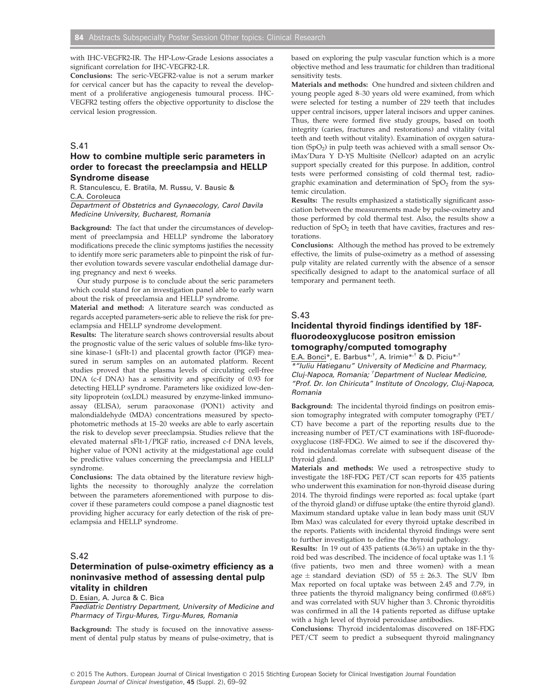with IHC-VEGFR2-IR. The HP-Low-Grade Lesions associates a significant correlation for IHC-VEGFR2-LR.

Conclusions: The seric-VEGFR2-value is not a serum marker for cervical cancer but has the capacity to reveal the development of a proliferative angiogenesis tumoural process. IHC-VEGFR2 testing offers the objective opportunity to disclose the cervical lesion progression.

## S.41

#### How to combine multiple seric parameters in order to forecast the preeclampsia and HELLP Syndrome disease

R. Stanculescu, E. Bratila, M. Russu, V. Bausic & C.A. Coroleuca

Department of Obstetrics and Gynaecology, Carol Davila Medicine University, Bucharest, Romania

Background: The fact that under the circumstances of development of preeclampsia and HELLP syndrome the laboratory modifications precede the clinic symptoms justifies the necessity to identify more seric parameters able to pinpoint the risk of further evolution towards severe vascular endothelial damage during pregnancy and next 6 weeks.

Our study purpose is to conclude about the seric parameters which could stand for an investigation panel able to early warn about the risk of preeclamsia and HELLP syndrome.

Material and method: A literature search was conducted as regards accepted parameters-seric able to relieve the risk for preeclampsia and HELLP syndrome development.

Results: The literature search shows controversial results about the prognostic value of the seric values of soluble fms-like tyrosine kinase-1 (sFlt-1) and placental growth factor (PIGF) measured in serum samples on an automated platform. Recent studies proved that the plasma levels of circulating cell-free DNA (c-f DNA) has a sensitivity and specificity of 0.93 for detecting HELLP syndrome. Parameters like oxidized low-density lipoprotein (oxLDL) measured by enzyme-linked immunoassay (ELISA), serum paraoxonase (PON1) activity and malondialdehyde (MDA) concentrations measured by spectophotometric methods at 15–20 weeks are able to early ascertain the risk to develop sever preeclampsia. Studies relieve that the elevated maternal sFlt-1/PlGF ratio, increased c-f DNA levels, higher value of PON1 activity at the midgestational age could be predictive values concerning the preeclampsia and HELLP syndrome.

Conclusions: The data obtained by the literature review highlights the necessity to thoroughly analyze the correlation between the parameters aforementioned with purpose to discover if these parameters could compose a panel diagnostic test providing higher accuracy for early detection of the risk of preeclampsia and HELLP syndrome.

#### S.42

## Determination of pulse-oximetry efficiency as a noninvasive method of assessing dental pulp vitality in children

D. Esian, A. Jurca & C. Bica

Paediatric Dentistry Department, University of Medicine and Pharmacy of Tirgu-Mures, Tirgu-Mures, Romania

Background: The study is focused on the innovative assessment of dental pulp status by means of pulse-oximetry, that is based on exploring the pulp vascular function which is a more objective method and less traumatic for children than traditional sensitivity tests.

Materials and methods: One hundred and sixteen children and young people aged 8–30 years old were examined, from which were selected for testing a number of 229 teeth that includes upper central incisors, upper lateral incisors and upper canines. Thus, there were formed five study groups, based on tooth integrity (caries, fractures and restorations) and vitality (vital teeth and teeth without vitality). Examination of oxygen saturation  $(SpO<sub>2</sub>)$  in pulp teeth was achieved with a small sensor OxiMax'Dura Y D-YS Multisite (Nellcor) adapted on an acrylic support specially created for this purpose. In addition, control tests were performed consisting of cold thermal test, radiographic examination and determination of  $SpO<sub>2</sub>$  from the systemic circulation.

Results: The results emphasized a statistically significant association between the measurements made by pulse-oximetry and those performed by cold thermal test. Also, the results show a reduction of  $SpO<sub>2</sub>$  in teeth that have cavities, fractures and restorations.

Conclusions: Although the method has proved to be extremely effective, the limits of pulse-oximetry as a method of assessing pulp vitality are related currently with the absence of a sensor specifically designed to adapt to the anatomical surface of all temporary and permanent teeth.

#### S.43

## Incidental thyroid findings identified by 18Ffluorodeoxyglucose positron emission tomography/computed tomography

E.A. Bonci\*, E. Barbus\*<sup>,†</sup>, A. Irimie\*<sup>,†</sup> & D. Piciu\*<sup>,†</sup> \*"Iuliu Hatieganu" University of Medicine and Pharmacy, Cluj-Napoca, Romania; † Department of Nuclear Medicine, "Prof. Dr. Ion Chiricuta" Institute of Oncology, Cluj-Napoca, Romania

Background: The incidental thyroid findings on positron emission tomography integrated with computer tomography (PET/ CT) have become a part of the reporting results due to the increasing number of PET/CT examinations with 18F-fluorodeoxyglucose (18F-FDG). We aimed to see if the discovered thyroid incidentalomas correlate with subsequent disease of the thyroid gland.

Materials and methods: We used a retrospective study to investigate the 18F-FDG PET/CT scan reports for 435 patients who underwent this examination for non-thyroid disease during 2014. The thyroid findings were reported as: focal uptake (part of the thyroid gland) or diffuse uptake (the entire thyroid gland). Maximum standard uptake value in lean body mass unit (SUV lbm Max) was calculated for every thyroid uptake described in the reports. Patients with incidental thyroid findings were sent to further investigation to define the thyroid pathology.

Results: In 19 out of 435 patients (4.36%) an uptake in the thyroid bed was described. The incidence of focal uptake was 1.1 % (five patients, two men and three women) with a mean age  $\pm$  standard deviation (SD) of 55  $\pm$  26.3. The SUV lbm Max reported on focal uptake was between 2.45 and 7.79, in three patients the thyroid malignancy being confirmed (0.68%) and was correlated with SUV higher than 3. Chronic thyroiditis was confirmed in all the 14 patients reported as diffuse uptake with a high level of thyroid peroxidase antibodies.

Conclusions: Thyroid incidentalomas discovered on 18F-FDG PET/CT seem to predict a subsequent thyroid malingnancy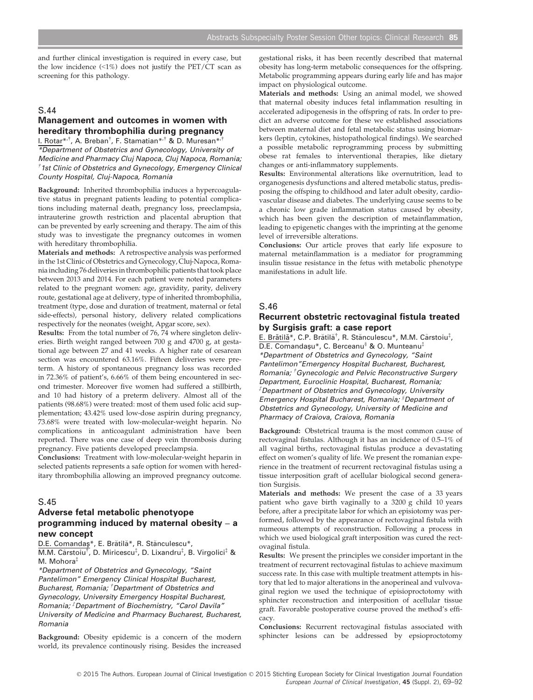and further clinical investigation is required in every case, but the low incidence  $\langle 51\% \rangle$  does not justify the PET/CT scan as screening for this pathology.

#### S.44

# Management and outcomes in women with hereditary thrombophilia during pregnancy

l. Rotar\*<sup>,†</sup>, A. Breban<sup>†</sup>, F. Stamatian\*<sup>,†</sup> & D. Muresan\*<sup>,†</sup> \*Department of Obstetrics and Gynecology, University of Medicine and Pharmacy Cluj Napoca, Cluj Napoca, Romania;  $^\dagger$ 1st Clinic of Obstetrics and Gynecology, Emergency Clinical County Hospital, Cluj-Napoca, Romania

Background: Inherited thrombophilia induces a hypercoagulative status in pregnant patients leading to potential complications including maternal death, pregnancy loss, preeclampsia, intrauterine growth restriction and placental abruption that can be prevented by early screening and therapy. The aim of this study was to investigate the pregnancy outcomes in women with hereditary thrombophilia.

Materials and methods: A retrospective analysis was performed in the 1st Clinic of Obstetrics and Gynecology, Cluj-Napoca, Romania including 76 deliveries in thrombophilic patients that took place between 2013 and 2014. For each patient were noted parameters related to the pregnant women: age, gravidity, parity, delivery route, gestational age at delivery, type of inherited thrombophilia, treatment (type, dose and duration of treatment, maternal or fetal side-effects), personal history, delivery related complications respectively for the neonates (weight, Apgar score, sex).

Results: From the total number of 76, 74 where singleton deliveries. Birth weight ranged between 700 g and 4700 g, at gestational age between 27 and 41 weeks. A higher rate of cesarean section was encountered 63.16%. Fifteen deliveries were preterm. A history of spontaneous pregnancy loss was recorded in 72.36% of patient's, 6.66% of them being encountered in second trimester. Moreover five women had suffered a stillbirth, and 10 had history of a preterm delivery. Almost all of the patients (98.68%) were treated: most of them used folic acid supplementation; 43.42% used low-dose aspirin during pregnancy, 73.68% were treated with low-molecular-weight heparin. No complications in anticoagulant administration have been reported. There was one case of deep vein thrombosis during pregnancy. Five patients developed preeclampsia.

Conclusions: Treatment with low-molecular-weight heparin in selected patients represents a safe option for women with hereditary thrombophilia allowing an improved pregnancy outcome.

### S.45

## Adverse fetal metabolic phenotyope programming induced by maternal obesity – a new concept

D.E. Comandaș\*, E. Brătilă\*, R. Stănculescu\*,

 $\overline{\mathsf{M.M.}}$  Cârstoiu ${}^{\dagger}$ , D. Miricescu ${}^{\ddagger}$ , D. Lixandru ${}^{\ddagger}$ , B. Vîrgolici ${}^{\ddagger}$  & M. Mohora‡

\*Department of Obstetrics and Gynecology, "Saint Pantelimon" Emergency Clinical Hospital Bucharest, Bucharest, Romania; <sup>†</sup> Department of Obstetrics and Gynecology, University Emergency Hospital Bucharest, Romania; ‡ Department of Biochemistry, "Carol Davila" University of Medicine and Pharmacy Bucharest, Bucharest, Romania

Background: Obesity epidemic is a concern of the modern world, its prevalence continously rising. Besides the increased

gestational risks, it has been recently described that maternal obesity has long-term metabolic consequences for the offspring. Metabolic programming appears during early life and has major impact on physiological outcome.

Materials and methods: Using an animal model, we showed that maternal obesity induces fetal inflammation resulting in accelerated adipogenesis in the offspring of rats. In order to predict an adverse outcome for these we established associations between maternal diet and fetal metabolic status using biomarkers (leptin, cytokines, histopathological findings). We searched a possible metabolic reprogramming process by submitting obese rat females to interventional therapies, like dietary changes or anti-inflammatory supplements.

Results: Environmental alterations like overnutrition, lead to organogenesis dysfunctions and altered metabolic status, predisposing the offsping to childhood and later adult obesity, cardiovascular disease and diabetes. The underlying cause seems to be a chronic low grade inflammation status caused by obesity, which has been given the description of metainflammation, leading to epigenetic changes with the imprinting at the genome level of irreversible alterations.

Conclusions: Our article proves that early life exposure to maternal metainflammation is a mediator for programming insulin tissue resistance in the fetus with metabolic phenotype manifestations in adult life.

#### S.46

### Recurrent obstetric rectovaginal fistula treated by Surgisis graft: a case report

E. Brătilă\*, C.P. Brătilă<sup>†</sup>, R. Stănculescu\*, M.M. Cârstoiu<sup>‡</sup>, D.E. Comandasu\*, C. Berceanu§ & O. Munteanu‡ \*Department of Obstetrics and Gynecology, "Saint Pantelimon"Emergency Hospital Bucharest, Bucharest, Romania; † Gynecologic and Pelvic Reconstructive Surgery Department, Euroclinic Hospital, Bucharest, Romania; ‡ Department of Obstetrics and Gynecology, University Emergency Hospital Bucharest, Romania; <sup>§</sup> Department of Obstetrics and Gynecology, University of Medicine and Pharmacy of Craiova, Craiova, Romania

Background: Obstetrical trauma is the most common cause of rectovaginal fistulas. Although it has an incidence of 0.5–1% of all vaginal births, rectovaginal fistulas produce a devastating effect on women's quality of life. We present the romanian experience in the treatment of recurrent rectovaginal fistulas using a tissue interposition graft of acellular biological second generation Surgisis.

Materials and methods: We present the case of a 33 years patient who gave birth vaginally to a 3200 g child 10 years before, after a precipitate labor for which an episiotomy was performed, followed by the appearance of rectovaginal fistula with numeous attempts of reconstruction. Following a process in which we used biological graft interposition was cured the rectovaginal fistula.

Results: We present the principles we consider important in the treatment of recurrent rectovaginal fistulas to achieve maximum success rate. In this case with multiple treatment attempts in history that led to major alterations in the anoperineal and vulvovaginal region we used the technique of episioproctotomy with sphincter reconstruction and interposition of acellular tissue graft. Favorable postoperative course proved the method's efficacy.

Conclusions: Recurrent rectovaginal fistulas associated with sphincter lesions can be addressed by epsioproctotomy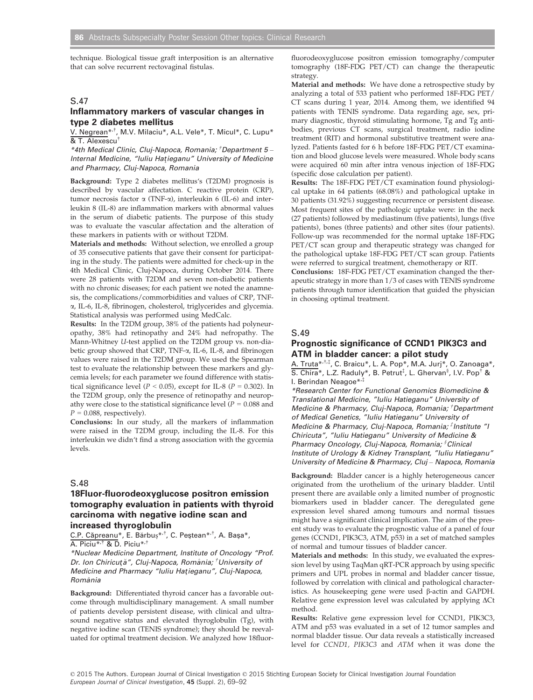technique. Biological tissue graft interposition is an alternative that can solve recurrent rectovaginal fistulas.

#### S.47

#### Inflammatory markers of vascular changes in type 2 diabetes mellitus

V. Negrean\*<sup>,†</sup>, M.V. Milaciu\*, A.L. Vele\*, T. Micul\*, C. Lupu\* & T. Alexescu†

\*4th Medical Clinic, Cluj-Napoca, Romania; † Department 5 – Internal Medicine, "Iuliu Hatieganu" University of Medicine and Pharmacy, Cluj-Napoca, Romania

Background: Type 2 diabetes mellitus's (T2DM) prognosis is described by vascular affectation. C reactive protein (CRP), tumor necrosis factor  $\alpha$  (TNF- $\alpha$ ), interleukin 6 (IL-6) and interleukin 8 (IL-8) are inflammation markers with abnormal values in the serum of diabetic patients. The purpose of this study was to evaluate the vascular affectation and the alteration of these markers in patients with or without T2DM.

Materials and methods: Without selection, we enrolled a group of 35 consecutive patients that gave their consent for participating in the study. The patients were admitted for check-up in the 4th Medical Clinic, Cluj-Napoca, during October 2014. There were 28 patients with T2DM and seven non-diabetic patients with no chronic diseases; for each patient we noted the anamnesis, the complications/commorbidities and values of CRP, TNFa, IL-6, IL-8, fibrinogen, cholesterol, triglycerides and glycemia. Statistical analysis was performed using MedCalc.

Results: In the T2DM group, 38% of the patients had polyneuropathy, 38% had retinopathy and 24% had nefropathy. The Mann-Whitney U-test applied on the T2DM group vs. non-diabetic group showed that CRP, TNF-a, IL-6, IL-8, and fibrinogen values were raised in the T2DM group. We used the Spearman test to evaluate the relationship between these markers and glycemia levels; for each parameter we found difference with statistical significance level ( $P < 0.05$ ), except for IL-8 ( $P = 0.302$ ). In the T2DM group, only the presence of retinopathy and neuropathy were close to the statistical significance level ( $P = 0.088$  and  $P = 0.088$ , respectively).

Conclusions: In our study, all the markers of inflammation were raised in the T2DM group, including the IL-8. For this interleukin we didn't find a strong association with the gycemia levels.

#### S.48

## 18Fluor-fluorodeoxyglucose positron emission tomography evaluation in patients with thyroid carcinoma with negative iodine scan and increased thyroglobulin

C.P. Căpreanu\*, E. Bărbuș\*<sup>,†</sup>, C. Peştean\*<sup>,†</sup>, A. Başa\*, A. Piciu\*,† & D. Piciu\*,†

\*Nuclear Medicine Department, Institute of Oncology "Prof. Dr. Ion Chiricuţă", Cluj-Napoca, România; <sup>†</sup>University of Medicine and Pharmacy "Iuliu Hatieganu", Cluj-Napoca, Romania ^

Background: Differentiated thyroid cancer has a favorable outcome through multidisciplinary management. A small number of patients develop persistent disease, with clinical and ultrasound negative status and elevated thyroglobulin (Tg), with negative iodine scan (TENIS syndrome); they should be reevaluated for optimal treatment decision. We analyzed how 18fluorfluorodeoxyglucose positron emission tomography/computer tomography (18F-FDG PET/CT) can change the therapeutic strategy.

Material and methods: We have done a retrospective study by analyzing a total of 533 patient who performed 18F-FDG PET/ CT scans during 1 year, 2014. Among them, we identified 94 patients with TENIS syndrome. Data regarding age, sex, primary diagnostic, thyroid stimulating hormone, Tg and Tg antibodies, previous CT scans, surgical treatment, radio iodine treatment (RIT) and hormonal substitutive treatment were analyzed. Patients fasted for 6 h before 18F-FDG PET/CT examination and blood glucose levels were measured. Whole body scans were acquired 60 min after intra venous injection of 18F-FDG (specific dose calculation per patient).

Results: The 18F-FDG PET/CT examination found physiological uptake in 64 patients (68.08%) and pathological uptake in 30 patients (31.92%) suggesting recurrence or persistent disease. Most frequent sites of the pathologic uptake were: in the neck (27 patients) followed by mediastinum (five patients), lungs (five patients), bones (three patients) and other sites (four patients). Follow-up was recommended for the normal uptake 18F-FDG PET/CT scan group and therapeutic strategy was changed for the pathological uptake 18F-FDG PET/CT scan group. Patients were referred to surgical treatment, chemotherapy or RIT.

Conclusions: 18F-FDG PET/CT examination changed the therapeutic strategy in more than 1/3 of cases with TENIS syndrome patients through tumor identification that guided the physician in choosing optimal treatment.

#### S.49

#### Prognostic significance of CCND1 PIK3C3 and ATM in bladder cancer: a pilot study

A. Truta\*<sup>,†,‡</sup>, C. Braicu\*, L. A. Pop\*, M.A. Jurj\*, O. Zanoaga\*, S. Chira\*, L.Z. Raduly\*, B. Petrut<sup>‡</sup>, L. Ghervan<sup>§</sup>, I.V. Pop<sup>†</sup> & I. Berindan Neagoe\*<sup>,3</sup>

\*Research Center for Functional Genomics Biomedicine & Translational Medicine, "Iuliu Hatieganu" University of Medicine & Pharmacy, Cluj-Napoca, Romania; † Department of Medical Genetics, "Iuliu Hatieganu" University of Medicine & Pharmacy, Cluj-Napoca, Romania; <sup>†</sup> Institute " Chiricuta", "Iuliu Hatieganu" University of Medicine & Pharmacy Oncology, Cluj-Napoca, Romania; <sup>§</sup> Clinica Institute of Urology & Kidney Transplant, "Iuliu Hatieganu" University of Medicine & Pharmacy, Cluj – Napoca, Romania

Background: Bladder cancer is a highly heterogeneous cancer originated from the urothelium of the urinary bladder. Until present there are available only a limited number of prognostic biomarkers used in bladder cancer. The deregulated gene expression level shared among tumours and normal tissues might have a significant clinical implication. The aim of the present study was to evaluate the prognostic value of a panel of four genes (CCND1, PIK3C3, ATM, p53) in a set of matched samples of normal and tumour tissues of bladder cancer.

Materials and methods: In this study, we evaluated the expression level by using TaqMan qRT-PCR approach by using specific primers and UPL probes in normal and bladder cancer tissue, followed by correlation with clinical and pathological characteristics. As housekeeping gene were used  $\beta$ -actin and GAPDH. Relative gene expression level was calculated by applying  $\Delta Ct$ method.

Results: Relative gene expression level for CCND1, PIK3C3, ATM and p53 was evaluated in a set of 12 tumor samples and normal bladder tissue. Our data reveals a statistically increased level for CCND1, PIK3C3 and ATM when it was done the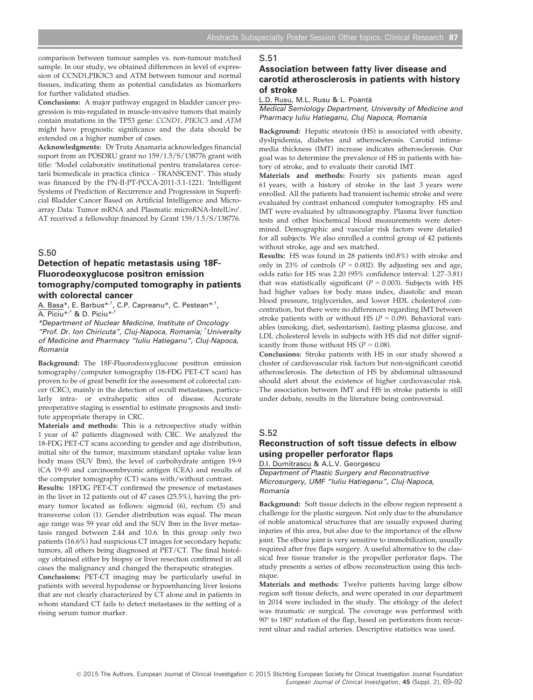comparison between tumour samples vs. non-tumour matched sample. In our study, we obtained differences in level of expression of CCND1,PIK3C3 and ATM between tumour and normal tissues, indicating them as potential candidates as biomarkers for further validated studies.

Conclusions: A major pathway engaged in bladder cancer progression is mis-regulated in muscle-invasive tumors that mainly contain mutations in the TP53 gene: CCND1, PIK3C3 and ATM contain mutations in the TP53 gene: CCND1, PIK3C3 and ATM might have prognostic significance and the data should be extended on a higher number of cases.

Acknowledgments: Dr Truta Anamaria acknowledges financial suport from an POSDRU grant no 159/1.5/S/138776 grant with title: 'Model colaborativ institutional pentru translatarea cercetarii biomedicale in practica clinica – TRANSCENT'. This study was financed by the PN-II-PT-PCCA-2011-3.1-1221: 'Intelligent Systems of Prediction of Recurrence and Progression in Superficial Bladder Cancer Based on Artificial Intelligence and Microarray Data: Tumor mRNA and Plasmatic microRNA-IntelUro'. AT received a fellowship financed by Grant 159/1.5/S/138776.

#### S.50

## Detection of hepatic metastasis using 18F-Fluorodeoxyglucose positron emission tomography/computed tomography in patients with colorectal cancer

A. Basa\*, E. Barbus\*<sup>,†</sup>, C.P. Capreanu\*, C. Pestean\*<sup>,†</sup>, A. Piciu\*,† & D. Piciu\*,†

\*Department of Nuclear Medicine, Institute of Oncology "Prof. Dr. Ion Chiricuta", Cluj-Napoca, Romania; † University of Medicine and Pharmacy "Iuliu Hatieganu", Cluj-Napoca, Romania

Background: The 18F-Fluorodeoxyglucose positron emission tomography/computer tomography (18-FDG PET-CT scan) has proven to be of great benefit for the assessment of colorectal cancer (CRC), mainly in the detection of occult metastases, particularly intra- or extrahepatic sites of disease. Accurate preoperative staging is essential to estimate prognosis and institute appropriate therapy in CRC.

Materials and methods: This is a retrospective study within 1 year of 47 patients diagnosed with CRC. We analyzed the 18-FDG PET-CT scans according to gender and age distribution, initial site of the tumor, maximum standard uptake value lean body mass (SUV lbm), the level of carbohydrate antigen 19-9 (CA 19-9) and carcinoembryonic antigen (CEA) and results of the computer tomography (CT) scans with/without contrast.

Results: 18FDG PET-CT confirmed the presence of metastases in the liver in 12 patients out of 47 cases (25.5%), having the primary tumor located as follows: sigmoid (6), rectum (5) and transverse colon (1). Gender distribution was equal. The mean age range was 59 year old and the SUV lbm in the liver metastasis ranged between 2.44 and 10.6. In this group only two patients (16.6%) had suspicious CT images for secondary hepatic tumors, all others being diagnosed at PET/CT. The final histology obtained either by biopsy or liver resection confirmed in all cases the malignancy and changed the therapeutic strategies.

Conclusions: PET-CT imaging may be particularly useful in patients with several hypodense or hypoenhancing liver lesions that are not clearly characterized by CT alone and in patients in whom standard CT fails to detect metastases in the setting of a rising serum tumor marker.

#### S.51

## Association between fatty liver disease and carotid atherosclerosis in patients with history of stroke

L.D. Rusu, M.L. Rusu & L. Poantă

Medical Semiology Department, University of Medicine and Pharmacy Iuliu Hatieganu, Cluj Napoca, Romania

Background: Hepatic steatosis (HS) is associated with obesity, dyslipidemia, diabetes and atherosclerosis. Carotid intimamedia thickness (IMT) increase indicates atherosclerosis. Our goal was to determine the prevalence of HS in patients with history of stroke, and to evaluate their carotid IMT.

Materials and methods: Fourty six patients mean aged 61 years, with a history of stroke in the last 3 years were enrolled. All the patients had transient ischemic stroke and were evaluated by contrast enhanced computer tomography. HS and IMT were evaluated by ultrasonography. Plasma liver function tests and other biochemical blood measurements were determined. Demographic and vascular risk factors were detailed for all subjects. We also enrolled a control group of 42 patients without stroke, age and sex matched.

Results: HS was found in 28 patients (60.8%) with stroke and only in 23% of controls ( $P = 0.002$ ). By adjusting sex and age, odds ratio for HS was 2.20 (95% confidence interval: 1.27–3.81) that was statistically significant ( $P = 0.003$ ). Subjects with HS had higher values for body mass index, diastolic and mean blood pressure, triglycerides, and lower HDL cholesterol concentration, but there were no differences regarding IMT between stroke patients with or without HS ( $P = 0.09$ ). Behavioral variables (smoking, diet, sedentarism), fasting plasma glucose, and LDL cholesterol levels in subjects with HS did not differ significantly from those without HS ( $P = 0.08$ ).

Conclusions: Stroke patients with HS in our study showed a cluster of cardiovascular risk factors but non-significant carotid atherosclerosis. The detection of HS by abdominal ultrasound should alert about the existence of higher cardiovascular risk. The association between IMT and HS in stroke patients is still under debate, results in the literature being controversial.

#### S.52

# Reconstruction of soft tissue defects in elbow using propeller perforator flaps

D.I. Dumitrascu & A.L.V. Georgescu

Department of Plastic Surgery and Reconstructive Microsurgery, UMF "Iuliu Hatieganu", Cluj-Napoca, Romania

Background: Soft tissue defects in the elbow region represent a challenge for the plastic surgeon. Not only due to the abundance of noble anatomical structures that are usually exposed during injuries of this area, but also due to the importance of the elbow joint. The elbow joint is very sensitive to immobilization, usually required after free flaps surgery. A useful alternative to the classical free tissue transfer is the propeller perforator flaps. The study presents a series of elbow reconstruction using this technique.

Materials and methods: Twelve patients having large elbow region soft tissue defects, and were operated in our department in 2014 were included in the study. The etiology of the defect was traumatic or surgical. The coverage was performed with 90° to 180° rotation of the flap, based on perforators from recurrent ulnar and radial arteries. Descriptive statistics was used.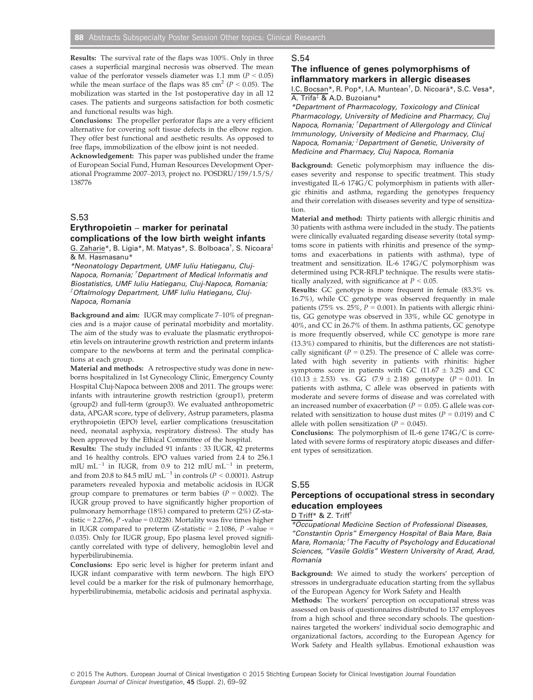Results: The survival rate of the flaps was 100%. Only in three cases a superficial marginal necrosis was observed. The mean value of the perforator vessels diameter was 1.1 mm ( $P < 0.05$ ) while the mean surface of the flaps was  $85 \text{ cm}^2$  ( $P < 0.05$ ). The mobilization was started in the 1st postoperative day in all 12 cases. The patients and surgeons satisfaction for both cosmetic and functional results was high.

Conclusions: The propeller perforator flaps are a very efficient alternative for covering soft tissue defects in the elbow region. They offer best functional and aesthetic results. As opposed to free flaps, immobilization of the elbow joint is not needed.

Acknowledgement: This paper was published under the frame of European Social Fund, Human Resources Development Operational Programme 2007–2013, project no. POSDRU/159/1.5/S/ 138776

#### S.53

## Erythropoietin – marker for perinatal complications of the low birth weight infants

G. Zaharie\*, B. Ligia\*, M. Matyas\*, S. Bolboaca<sup>†</sup>, S. Nicoara<sup>‡</sup> & M. Hasmasanu\*

\*Neonatology Department, UMF Iuliu Hatieganu, Cluj-Napoca, Romania; <sup>†</sup> Department of Medical Informatis and Biostatistics, UMF Iuliu Hatieganu, Cluj-Napoca, Romania; ‡ Oftalmology Department, UMF Iuliu Hatieganu, Cluj-Napoca, Romania

Background and aim: IUGR may complicate 7–10% of pregnancies and is a major cause of perinatal morbidity and mortality. The aim of the study was to evaluate the plasmatic erythropoietin levels on intrauterine growth restriction and preterm infants compare to the newborns at term and the perinatal complications at each group.

Material and methods: A retrospective study was done in newborns hospitalized in 1st Gynecology Clinic, Emergency County Hospital Cluj-Napoca between 2008 and 2011. The groups were: infants with intrauterine growth restriction (group1), preterm (group2) and full-term (group3). We evaluated anthropometric data, APGAR score, type of delivery, Astrup parameters, plasma erythropoietin (EPO) level, earlier complications (resuscitation need, neonatal asphyxia, respiratory distress). The study has been approved by the Ethical Committee of the hospital.

Results: The study included 91 infants : 33 IUGR, 42 preterms and 16 healthy controls. EPO values varied from 2.4 to 256.1 mIU mL<sup>-1</sup> in IUGR, from 0.9 to 212 mIU mL<sup>-1</sup> in preterm, and from 20.8 to 84.5 mIU mL<sup>-1</sup> in controls ( $P < 0.0001$ ). Astrup parameters revealed hypoxia and metabolic acidosis in IUGR group compare to prematures or term babies ( $P = 0.002$ ). The IUGR group proved to have significantly higher proportion of pulmonary hemorrhage (18%) compared to preterm (2%) (Z-statistic =  $2.2766$ , P -value = 0.0228). Mortality was five times higher in IUGR compared to preterm (Z-statistic =  $2.1086$ ,  $P$  -value = 0.035). Only for IUGR group, Epo plasma level proved significantly correlated with type of delivery, hemoglobin level and hyperbilirubinemia.

Conclusions: Epo seric level is higher for preterm infant and IUGR infant comparative with term newborn. The high EPO level could be a marker for the risk of pulmonary hemorrhage, hyperbilirubinemia, metabolic acidosis and perinatal asphyxia.

#### S.54

# The influence of genes polymorphisms of inflammatory markers in allergic diseases

I.C. Bocsan\*, R. Pop\*, I.A. Muntean<sup>†</sup>, D. Nicoară\*, S.C. Vesa\*, A. Trifa‡ & A.D. Buzoianu\*

\*Department of Pharmacology, Toxicology and Clinical Pharmacology, University of Medicine and Pharmacy, Cluj Napoca, Romania; † Department of Allergology and Clinical Immunology, University of Medicine and Pharmacy, Cluj Napoca, Romania; <sup>†</sup> Department of Genetic, University of Medicine and Pharmacy, Cluj Napoca, Romania

Background: Genetic polymorphism may influence the diseases severity and response to specific treatment. This study investigated IL-6 174G/C polymorphism in patients with allergic rhinitis and asthma, regarding the genotypes frequency and their correlation with diseases severity and type of sensitization.

Material and method: Thirty patients with allergic rhinitis and 30 patients with asthma were included in the study. The patients were clinically evaluated regarding disease severity (total symptoms score in patients with rhinitis and presence of the symptoms and exacerbations in patients with asthma), type of treatment and sensitization. IL-6 174G/C polymorphism was determined using PCR-RFLP technique. The results were statistically analyzed, with significance at  $P < 0.05$ .

Results: GC genotype is more frequent in female (83.3% vs. 16.7%), while CC genotype was observed frequently in male patients (75% vs. 25%,  $P = 0.001$ ). In patients with allergic rhinitis, GG genotype was observed in 33%, while GC genotype in 40%, and CC in 26.7% of them. In asthma patients, GC genotype is more frequently observed, while CC genotype is more rare (13.3%) compared to rhinitis, but the differences are not statistically significant ( $P = 0.25$ ). The presence of C allele was correlated with high severity in patients with rhinitis: higher symptoms score in patients with GC (11.67  $\pm$  3.25) and CC  $(10.13 \pm 2.53)$  vs. GG  $(7.9 \pm 2.18)$  genotype  $(P = 0.01)$ . In patients with asthma, C allele was observed in patients with moderate and severe forms of disease and was correlated with an increased number of exacerbation ( $P = 0.05$ ). G allele was correlated with sensitization to house dust mites  $(P = 0.019)$  and C allele with pollen sensitization ( $P = 0.045$ ).

Conclusions: The polymorphism of IL-6 gene 174G/C is correlated with severe forms of respiratory atopic diseases and different types of sensitization.

#### S.55

## Perceptions of occupational stress in secondary education employees

D Triff\* & Z. Triff†

\*Occupational Medicine Section of Professional Diseases, "Constantin Opris" Emergency Hospital of Baia Mare, Baia Mare, Romania; <sup>†</sup> The Faculty of Psychology and Educational Sciences, "Vasile Goldis" Western University of Arad, Arad, Romania

Background: We aimed to study the workers' perception of stressors in undergraduate education starting from the syllabus of the European Agency for Work Safety and Health

Methods: The workers' perception on occupational stress was assessed on basis of questionnaires distributed to 137 employees from a high school and three secondary schools. The questionnaires targeted the workers' individual socio demographic and organizational factors, according to the European Agency for Work Safety and Health syllabus. Emotional exhaustion was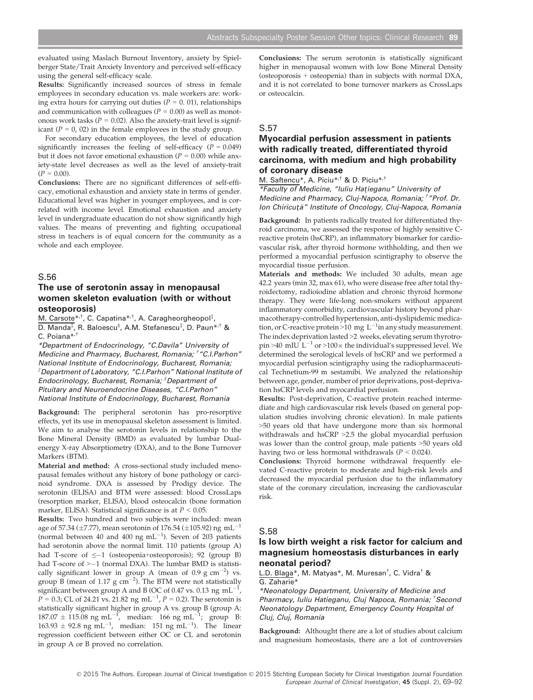evaluated using Maslach Burnout Inventory, anxiety by Spielberger State/Trait Anxiety Inventory and perceived self-efficacy using the general self-efficacy scale.

Results: Significantly increased sources of stress in female employees in secondary education vs. male workers are: working extra hours for carrying out duties ( $P = 0.01$ ), relationships and communication with colleagues ( $P = 0.00$ ) as well as monotonous work tasks ( $P = 0.02$ ). Also the anxiety-trait level is significant ( $P = 0$ , 02) in the female employees in the study group.

For secondary education employees, the level of education significantly increases the feeling of self-efficacy  $(P = 0.049)$ but it does not favor emotional exhaustion ( $P = 0.00$ ) while anxiety-state level decreases as well as the level of anxiety-trait  $(P = 0.00)$ .

Conclusions: There are no significant differences of self-efficacy, emotional exhaustion and anxiety state in terms of gender. Educational level was higher in younger employees, and is correlated with income level. Emotional exhaustion and anxiety level in undergraduate education do not show significantly high values. The means of preventing and fighting occupational stress in teachers is of equal concern for the community as a whole and each employee.

#### S.56

## The use of serotonin assay in menopausal women skeleton evaluation (with or without osteoporosis)

M. Carsote\*<sup>,†</sup>, C. Capatina\*<sup>,†</sup>, A. Caragheorgheopol<sup>‡</sup>, D. Manda<sup>‡</sup>, R. Baloescu<sup>§</sup>, A.M. Stefanescu<sup>‡</sup>, D. Paun\*<sup>,†</sup> & C. Poiana\*,†

\*Department of Endocrinology, "C.Davila" University of Medicine and Pharmacy, Bucharest, Romania; † "C.I.Parhon" National Institute of Endocrinology, Bucharest, Romania; ‡ Department of Laboratory, "C.I.Parhon" National Institute of Endocrinology, Bucharest, Romania; § Department of Pituitary and Neuroendocrine Diseases, "C.I.Parhon" National Institute of Endocrinology, Bucharest, Romania

Background: The peripheral serotonin has pro-resorptive effects, yet its use in menopausal skeleton assessment is limited. We aim to analyse the serotonin levels in relationship to the Bone Mineral Density (BMD) as evaluated by lumbar Dualenergy X-ray Absorptiometry (DXA), and to the Bone Turnover Markers (BTM).

Material and method: A cross-sectional study included menopausal females without any history of bone pathology or carcinoid syndrome. DXA is assessed by Prodigy device. The serotonin (ELISA) and BTM were assessed: blood CrossLaps (resorption marker, ELISA), blood osteocalcin (bone formation marker, ELISA). Statistical significance is at  $P < 0.05$ .

Results: Two hundred and two subjects were included: mean age of 57.34 ( $\pm$ 7.77), mean serotonin of 176.54 ( $\pm$ 105.92) ng mL<sup>-</sup> (normal between 40 and 400 ng  $mL^{-1}$ ). Seven of 203 patients had serotonin above the normal limit. 110 patients (group A) had T-score of  $\leq -1$  (osteopenia+osteoporosis); 92 (group B) had T-score of  $\geq -1$  (normal DXA). The lumbar BMD is statistically significant lower in group A (mean of 0.9 g cm<sup>-2</sup>) vs. group B (mean of 1.17  $\rm g$  cm<sup>-2</sup>). The BTM were not statistically significant between group A and B (OC of 0.47 vs. 0.13 ng  $mL^{-1}$ ,  $P = 0.3$ ; CL of 24.21 vs. 21.82 ng mL<sup>-1</sup>,  $P = 0.2$ ). The serotonin is statistically significant higher in group A vs. group B (group A:  $187.07 \pm 115.08$  ng mL<sup>-1</sup>, median: 166 ng mL<sup>-1</sup>; group B:<br>163.93  $\pm$  92.8 ng mL<sup>-1</sup>, median: 151 ng mL<sup>-1</sup>). The linear regression coefficient between either OC or CL and serotonin in group A or B proved no correlation.

Conclusions: The serum serotonin is statistically significant higher in menopausal women with low Bone Mineral Density (osteoporosis + osteopenia) than in subjects with normal DXA, and it is not correlated to bone turnover markers as CrossLaps or osteocalcin.

#### S.57

## Myocardial perfusion assessment in patients with radically treated, differentiated thyroid carcinoma, with medium and high probability of coronary disease

M. Saftencu\*, A. Piciu\*,† & D. Piciu\*,†

\*Faculty of Medicine, "Iuliu Hatieganu" University of Medicine and Pharmacy, Cluj-Napoca, Romania; † "Prof. Dr. Ion Chiricută" Institute of Oncology, Cluj-Napoca, Romania

Background: In patients radically treated for differentiated thyroid carcinoma, we assessed the response of highly sensitive Creactive protein (hsCRP), an inflammatory biomarker for cardiovascular risk, after thyroid hormone withholding, and then we performed a myocardial perfusion scintigraphy to observe the myocardial tissue perfusion.

Materials and methods: We included 30 adults, mean age 42.2 years (min 32, max 61), who were disease free after total thyroidectomy, radioiodine ablation and chronic thyroid hormone therapy. They were life-long non-smokers without apparent inflammatory comorbidity, cardiovascular history beyond pharmacotherapy-controlled hypertension, anti-dyslipidemic medication, or C-reactive protein > 10 mg  $L^{-1}$ in any study measurement. The index deprivation lasted >2 weeks, elevating serum thyrotropin >40 mIU  $L^{-1}$  or >100 $\times$  the individual's suppressed level. We determined the serological levels of hsCRP and we performed a myocardial perfusion scintigraphy using the radiopharmaceutical Technetium-99 m sestamibi. We analyzed the relationship between age, gender, number of prior deprivations, post-deprivation hsCRP levels and myocardial perfusion.

Results: Post-deprivation, C-reactive protein reached intermediate and high cardiovascular risk levels (based on general population studies involving chronic elevation). In male patients >50 years old that have undergone more than six hormonal withdrawals and hsCRP >2.5 the global myocardial perfusion was lower than the control group, male patients >50 years old having two or less hormonal withdrawals ( $P < 0.024$ ).

Conclusions: Thyroid hormone withdrawal frequently elevated C-reactive protein to moderate and high-risk levels and decreased the myocardial perfusion due to the inflammatory state of the coronary circulation, increasing the cardiovascular risk.

#### S.58

## Is low birth weight a risk factor for calcium and magnesium homeostasis disturbances in early neonatal period?

L.D. Blaga\*, M. Matyas\*, M. Muresan<sup>†</sup>, C. Vidra<sup>†</sup> & G. Zaharie\*

\*Neonatology Department, University of Medicine and Pharmacy, Iuliu Hatieganu, Cluj Napoca, Romania; <sup>†</sup> Second Neonatology Department, Emergency County Hospital of Cluj, Cluj, Romania

Background: Althought there are a lot of studies about calcium and magnesium homeostasis, there are a lot of controversies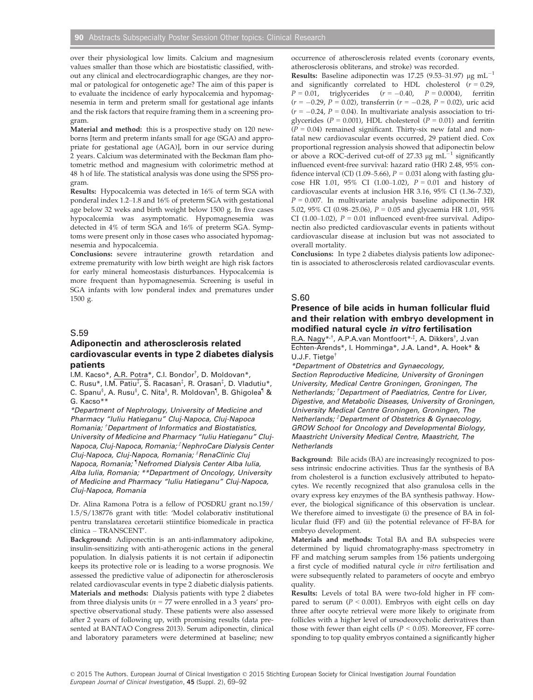over their physiological low limits. Calcium and magnesium values smaller than those which are biostatistic classified, without any clinical and electrocardiographic changes, are they normal or patological for ontogenetic age? The aim of this paper is to evaluate the incidence of early hypocalcemia and hypomagnesemia in term and preterm small for gestational age infants and the risk factors that require framing them in a screening program.

Material and method: this is a prospective study on 120 newborns [term and preterm infants small for age (SGA) and appropriate for gestational age (AGA)], born in our service during 2 years. Calcium was determinated with the Beckman flam photometric method and magnesium with colorimetric method at 48 h of life. The statistical analysis was done using the SPSS program.

Results: Hypocalcemia was detected in 16% of term SGA with ponderal index 1.2–1.8 and 16% of preterm SGA with gestational age below 32 weks and birth weight below 1500 g. In five cases hypocalcemia was asymptomatic. Hypomagnesemia was detected in 4% of term SGA and 16% of preterm SGA. Symptoms were present only in those cases who associated hypomagnesemia and hypocalcemia.

Conclusions: severe intrauterine growth retardation and extreme prematurity with low birth weight are high risk factors for early mineral homeostasis disturbances. Hypocalcemia is more frequent than hypomagnesemia. Screening is useful in SGA infants with low ponderal index and prematures under 1500 g.

#### S.59

### Adiponectin and atherosclerosis related cardiovascular events in type 2 diabetes dialysis patients

I.M. Kacso\*, A.R. Potra\*, C.I. Bondor<sup>†</sup>, D. Moldovan\*,

C. Rusu\*, I.M. Patiu<sup>‡</sup>, S. Racasan<sup>‡</sup>, R. Orasan<sup>‡</sup>, D. Vladutiu\*, C. Spanu<sup>§</sup>, A. Rusu<sup>§</sup>, C. Nita<sup>§</sup>, R. Moldovan<sup>¶</sup>, B. Ghigolea<sup>¶</sup> & G. Kacso\*\*

\*Department of Nephrology, University of Medicine and Pharmacy "Iuliu Hatieganu" Cluj-Napoca, Cluj-Napoca Romania; † Department of Informatics and Biostatistics, University of Medicine and Pharmacy "Iuliu Hatieganu" Cluj-Napoca, Cluj-Napoca, Romania; ‡ NephroCare Dialysis Center Cluj-Napoca, Cluj-Napoca, Romania; <sup>§</sup> RenaClinic Cluj Napoca, Romania; ¶ Nefromed Dialysis Center Alba Iulia, Alba Iulia, Romania; \*\*Department of Oncology, University of Medicine and Pharmacy "Iuliu Hatieganu" Cluj-Napoca, Cluj-Napoca, Romania

Dr. Alina Ramona Potra is a fellow of POSDRU grant no.159/ 1.5/S/138776 grant with title: 'Model colaborativ institutional pentru translatarea cercetarii stiintifice biomedicale in practica clinica – TRANSCENT'.

Background: Adiponectin is an anti-inflammatory adipokine, insulin-sensitizing with anti-atherogenic actions in the general population. In dialysis patients it is not certain if adiponectin keeps its protective role or is leading to a worse prognosis. We assessed the predictive value of adiponectin for atherosclerosis related cardiovascular events in type 2 diabetic dialysis patients. Materials and methods: Dialysis patients with type 2 diabetes from three dialysis units ( $n = 77$  were enrolled in a 3 years' prospective observational study. These patients were also assessed after 2 years of following up, with promising results (data presented at BANTAO Congress 2013). Serum adiponectin, clinical and laboratory parameters were determined at baseline; new occurrence of atherosclerosis related events (coronary events, atherosclerosis obliterans, and stroke) was recorded.

Results: Baseline adiponectin was 17.25 (9.53-31.97)  $\mu$ g mL<sup>-1</sup> and significantly correlated to HDL cholesterol  $(r = 0.29)$ ,  $P = 0.01$ , triglycerides ( $r = -0.40$ ,  $P = 0.0004$ ), ferritin  $(r = -0.29, P = 0.02)$ , transferrin  $(r = -0.28, P = 0.02)$ , uric acid  $(r = -0.24, P = 0.04)$ . In multivariate analysis association to triglycerides ( $P = 0.001$ ), HDL cholesterol ( $P = 0.01$ ) and ferritin  $(P = 0.04)$  remained significant. Thirty-six new fatal and nonfatal new cardiovascular events occurred, 29 patient died. Cox proportional regression analysis showed that adiponectin below or above a ROC-derived cut-off of 27.33  $\mu$ g mL<sup>-1</sup> significantly influenced event-free survival: hazard ratio (HR) 2.48, 95% confidence interval (CI) (1.09–5.66),  $P = 0.031$  along with fasting glucose HR 1.01, 95% CI (1.00–1.02),  $P = 0.01$  and history of cardiovascular events at inclusion HR 3.16, 95% CI (1.36–7.32),  $P = 0.007$ . In multivariate analysis baseline adiponectin HR 5.02, 95% CI (0.98–25.06),  $P = 0.05$  and glycaemia HR 1.01, 95% CI (1.00–1.02),  $P = 0.01$  influenced event-free survival. Adiponectin also predicted cardiovascular events in patients without cardiovascular disease at inclusion but was not associated to overall mortality.

Conclusions: In type 2 diabetes dialysis patients low adiponectin is associated to atherosclerosis related cardiovascular events.

## S.60

## Presence of bile acids in human follicular fluid and their relation with embryo development in modified natural cycle in vitro fertilisation

R.A. Nagy\*<sup>,†</sup>, A.P.A.van Montfoort\*<sup>,‡</sup>, A. Dikkers<sup>†</sup>, J.van Echten-Arends\*, I. Homminga\*, J.A. Land\*, A. Hoek\* & U.J.F. Tietge†

\*Department of Obstetrics and Gynaecology, Section Reproductive Medicine, University of Groningen University, Medical Centre Groningen, Groningen, The Netherlands; <sup>†</sup> Department of Paediatrics, Centre for Liver, Digestive, and Metabolic Diseases, University of Groningen, University Medical Centre Groningen, Groningen, The Netherlands; ‡ Department of Obstetrics & Gynaecology, GROW School for Oncology and Developmental Biology, Maastricht University Medical Centre, Maastricht, The **Netherlands** 

Background: Bile acids (BA) are increasingly recognized to possess intrinsic endocrine activities. Thus far the synthesis of BA from cholesterol is a function exclusively attributed to hepatocytes. We recently recognized that also granulosa cells in the ovary express key enzymes of the BA synthesis pathway. However, the biological significance of this observation is unclear. We therefore aimed to investigate (i) the presence of BA in follicular fluid (FF) and (ii) the potential relevance of FF-BA for embryo development.

Materials and methods: Total BA and BA subspecies were determined by liquid chromatography-mass spectrometry in FF and matching serum samples from 156 patients undergoing a first cycle of modified natural cycle in vitro fertilisation and were subsequently related to parameters of oocyte and embryo quality.

Results: Levels of total BA were two-fold higher in FF compared to serum ( $P < 0.001$ ). Embryos with eight cells on day three after oocyte retrieval were more likely to originate from follicles with a higher level of ursodeoxycholic derivatives than those with fewer than eight cells ( $P < 0.05$ ). Moreover, FF corresponding to top quality embryos contained a significantly higher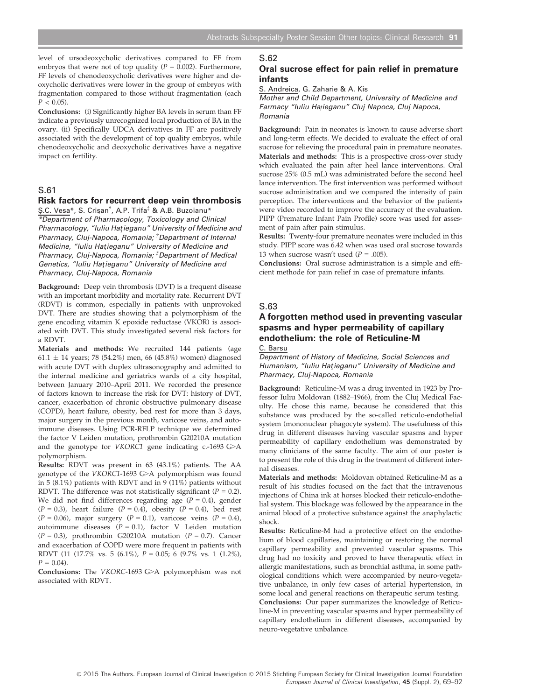level of ursodeoxycholic derivatives compared to FF from embryos that were not of top quality ( $P = 0.002$ ). Furthermore, FF levels of chenodeoxycholic derivatives were higher and deoxycholic derivatives were lower in the group of embryos with fragmentation compared to those without fragmentation (each  $P < 0.05$ ).

Conclusions: (i) Significantly higher BA levels in serum than FF indicate a previously unrecognized local production of BA in the ovary. (ii) Specifically UDCA derivatives in FF are positively associated with the development of top quality embryos, while chenodeoxycholic and deoxycholic derivatives have a negative impact on fertility.

#### S.61

# Risk factors for recurrent deep vein thrombosis

S¸ .C. Vesa\*, S. Crisan† , A.P. Trifa‡ & A.B. Buzoianu\* \*Department of Pharmacology, Toxicology and Clinical Pharmacology, "Iuliu Hatieganu" University of Medicine and Pharmacy, Cluj-Napoca, Romania; <sup>†</sup> Department of Internal Medicine, "Iuliu Hatieganu" University of Medicine and Pharmacy, Cluj-Napoca, Romania; <sup>†</sup> Department of Medical Genetics, "Iuliu Hatieganu" University of Medicine and Pharmacy, Cluj-Napoca, Romania

Background: Deep vein thrombosis (DVT) is a frequent disease with an important morbidity and mortality rate. Recurrent DVT (RDVT) is common, especially in patients with unprovoked DVT. There are studies showing that a polymorphism of the gene encoding vitamin K epoxide reductase (VKOR) is associated with DVT. This study investigated several risk factors for a RDVT.

Materials and methods: We recruited 144 patients (age 61.1  $\pm$  14 years; 78 (54.2%) men, 66 (45.8%) women) diagnosed with acute DVT with duplex ultrasonography and admitted to the internal medicine and geriatrics wards of a city hospital, between January 2010–April 2011. We recorded the presence of factors known to increase the risk for DVT: history of DVT, cancer, exacerbation of chronic obstructive pulmonary disease (COPD), heart failure, obesity, bed rest for more than 3 days, major surgery in the previous month, varicose veins, and autoimmune diseases. Using PCR-RFLP technique we determined the factor V Leiden mutation, prothrombin G20210A mutation and the genotype for VKORC1 gene indicating c.-1693 G><sup>A</sup> polymorphism.

Results: RDVT was present in 63 (43.1%) patients. The AA genotype of the VKORC1-1693 G>A polymorphism was found in 5 (8.1%) patients with RDVT and in 9 (11%) patients without RDVT. The difference was not statistically significant ( $P = 0.2$ ). We did not find differences regarding age  $(P = 0.4)$ , gender  $(P = 0.3)$ , heart failure  $(P = 0.4)$ , obesity  $(P = 0.4)$ , bed rest  $(P = 0.06)$ , major surgery  $(P = 0.1)$ , varicose veins  $(P = 0.4)$ , autoimmune diseases  $(P = 0.1)$ , factor V Leiden mutation  $(P = 0.3)$ , prothrombin G20210A mutation  $(P = 0.7)$ . Cancer and exacerbation of COPD were more frequent in patients with RDVT (11 (17.7% vs. 5 (6.1%),  $P = 0.05$ ; 6 (9.7% vs. 1 (1.2%),  $P = 0.04$ .

Conclusions: The VKORC-1693 G>A polymorphism was not associated with RDVT.

#### S.62

## Oral sucrose effect for pain relief in premature infants

S. Andreica, G. Zaharie & A. Kis

Mother and Child Department, University of Medicine and Farmacy "Iuliu Hațieganu" Cluj Napoca, Cluj Napoca, Romania

Background: Pain in neonates is known to cause adverse short and long-term effects. We decided to evaluate the effect of oral sucrose for relieving the procedural pain in premature neonates. Materials and methods: This is a prospective cross-over study which evaluated the pain after heel lance interventions. Oral sucrose 25% (0.5 mL) was administrated before the second heel lance intervention. The first intervention was performed without sucrose administration and we compared the intensity of pain perception. The interventions and the behavior of the patients were video recorded to improve the accuracy of the evaluation. PIPP (Premature Infant Pain Profile) score was used for assesment of pain after pain stimulus.

Results: Twenty-four premature neonates were included in this study. PIPP score was 6.42 when was used oral sucrose towards 13 when sucrose wasn't used  $(P = .005)$ .<br>Conclusions: Oral sucrose administration

Conclusions: Oral sucrose administration is a simple and efficient methode for pain relief in case of premature infants.

#### S.63

#### A forgotten method used in preventing vascular spasms and hyper permeability of capillary endothelium: the role of Reticuline-M C. Barsu

Department of History of Medicine, Social Sciences and Humanism, "Iuliu Hatieganu" University of Medicine and Pharmacy, Cluj-Napoca, Romania

Background: Reticuline-M was a drug invented in 1923 by Professor Iuliu Moldovan (1882–1966), from the Cluj Medical Faculty. He chose this name, because he considered that this substance was produced by the so-called reticulo-endothelial system (mononuclear phagocyte system). The usefulness of this drug in different diseases having vascular spasms and hyper permeability of capillary endothelium was demonstrated by many clinicians of the same faculty. The aim of our poster is to present the role of this drug in the treatment of different internal diseases.

Materials and methods: Moldovan obtained Reticuline-M as a result of his studies focused on the fact that the intravenous injections of China ink at horses blocked their reticulo-endothelial system. This blockage was followed by the appearance in the animal blood of a protective substance against the anaphylactic shock.

Results: Reticuline-M had a protective effect on the endothelium of blood capillaries, maintaining or restoring the normal capillary permeability and prevented vascular spasms. This drug had no toxicity and proved to have therapeutic effect in allergic manifestations, such as bronchial asthma, in some pathological conditions which were accompanied by neuro-vegetative unbalance, in only few cases of arterial hypertension, in some local and general reactions on therapeutic serum testing. Conclusions: Our paper summarizes the knowledge of Reticuline-M in preventing vascular spasms and hyper permeability of capillary endothelium in different diseases, accompanied by neuro-vegetative unbalance.